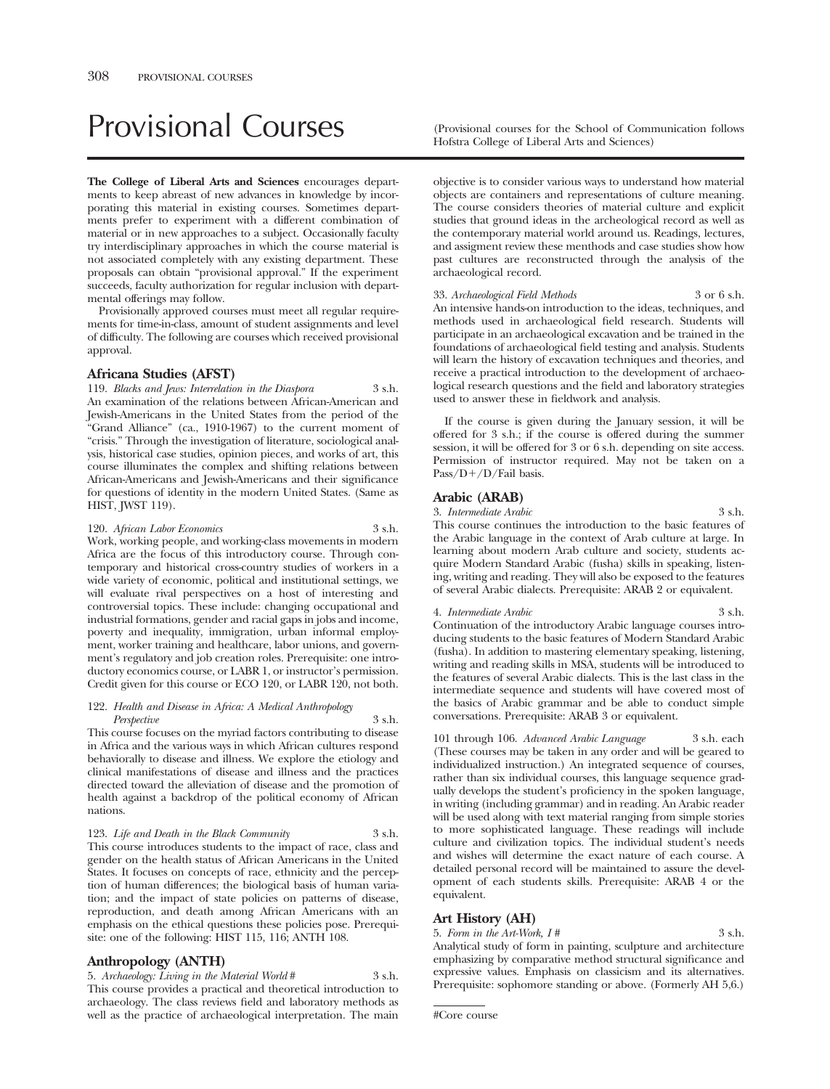# Provisional Courses (Provisional courses for the School of Communication follows

**The College of Liberal Arts and Sciences** encourages departments to keep abreast of new advances in knowledge by incorporating this material in existing courses. Sometimes departments prefer to experiment with a different combination of material or in new approaches to a subject. Occasionally faculty try interdisciplinary approaches in which the course material is not associated completely with any existing department. These proposals can obtain "provisional approval." If the experiment succeeds, faculty authorization for regular inclusion with departmental offerings may follow.

Provisionally approved courses must meet all regular requirements for time-in-class, amount of student assignments and level of difficulty. The following are courses which received provisional approval.

# **Africana Studies (AFST)**

119. *Blacks and Jews: Interrelation in the Diaspora* 3 s.h. An examination of the relations between African-American and Jewish-Americans in the United States from the period of the "Grand Alliance" (ca., 1910-1967) to the current moment of "crisis." Through the investigation of literature, sociological analysis, historical case studies, opinion pieces, and works of art, this course illuminates the complex and shifting relations between African-Americans and Jewish-Americans and their significance for questions of identity in the modern United States. (Same as HIST, JWST 119).

120. *African Labor Economics* 3 s.h. Work, working people, and working-class movements in modern Africa are the focus of this introductory course. Through contemporary and historical cross-country studies of workers in a wide variety of economic, political and institutional settings, we will evaluate rival perspectives on a host of interesting and controversial topics. These include: changing occupational and industrial formations, gender and racial gaps in jobs and income, poverty and inequality, immigration, urban informal employment, worker training and healthcare, labor unions, and government's regulatory and job creation roles. Prerequisite: one introductory economics course, or LABR 1, or instructor's permission. Credit given for this course or ECO 120, or LABR 120, not both.

#### 122. *Health and Disease in Africa: A Medical Anthropology Perspective* 3 s.h.

This course focuses on the myriad factors contributing to disease in Africa and the various ways in which African cultures respond behaviorally to disease and illness. We explore the etiology and clinical manifestations of disease and illness and the practices directed toward the alleviation of disease and the promotion of health against a backdrop of the political economy of African nations.

123. *Life and Death in the Black Community* 3 s.h. This course introduces students to the impact of race, class and gender on the health status of African Americans in the United States. It focuses on concepts of race, ethnicity and the perception of human differences; the biological basis of human variation; and the impact of state policies on patterns of disease, reproduction, and death among African Americans with an emphasis on the ethical questions these policies pose. Prerequisite: one of the following: HIST 115, 116; ANTH 108.

# **Anthropology (ANTH)**

5. *Archaeology: Living in the Material World* # 3 s.h. This course provides a practical and theoretical introduction to archaeology. The class reviews field and laboratory methods as well as the practice of archaeological interpretation. The main Hofstra College of Liberal Arts and Sciences)

objective is to consider various ways to understand how material objects are containers and representations of culture meaning. The course considers theories of material culture and explicit studies that ground ideas in the archeological record as well as the contemporary material world around us. Readings, lectures, and assigment review these menthods and case studies show how past cultures are reconstructed through the analysis of the archaeological record.

33. *Archaeological Field Methods* 3 or 6 s.h. An intensive hands-on introduction to the ideas, techniques, and methods used in archaeological field research. Students will participate in an archaeological excavation and be trained in the foundations of archaeological field testing and analysis. Students will learn the history of excavation techniques and theories, and receive a practical introduction to the development of archaeological research questions and the field and laboratory strategies used to answer these in fieldwork and analysis.

If the course is given during the January session, it will be offered for 3 s.h.; if the course is offered during the summer session, it will be offered for 3 or 6 s.h. depending on site access. Permission of instructor required. May not be taken on a Pass/D+/D/Fail basis.

# **Arabic (ARAB)**

3. *Intermediate Arabic* 3 s.h.

This course continues the introduction to the basic features of the Arabic language in the context of Arab culture at large. In learning about modern Arab culture and society, students acquire Modern Standard Arabic (fusha) skills in speaking, listening, writing and reading. They will also be exposed to the features of several Arabic dialects. Prerequisite: ARAB 2 or equivalent.

#### 4. *Intermediate Arabic* 3 s.h. Continuation of the introductory Arabic language courses introducing students to the basic features of Modern Standard Arabic (fusha). In addition to mastering elementary speaking, listening, writing and reading skills in MSA, students will be introduced to the features of several Arabic dialects. This is the last class in the intermediate sequence and students will have covered most of the basics of Arabic grammar and be able to conduct simple conversations. Prerequisite: ARAB 3 or equivalent.

101 through 106. *Advanced Arabic Language* 3 s.h. each (These courses may be taken in any order and will be geared to individualized instruction.) An integrated sequence of courses, rather than six individual courses, this language sequence gradually develops the student's proficiency in the spoken language, in writing (including grammar) and in reading. An Arabic reader will be used along with text material ranging from simple stories to more sophisticated language. These readings will include culture and civilization topics. The individual student's needs and wishes will determine the exact nature of each course. A detailed personal record will be maintained to assure the development of each students skills. Prerequisite: ARAB 4 or the equivalent.

# **Art History (AH)**

5. *Form in the Art-Work, I #* 3 s.h.

Analytical study of form in painting, sculpture and architecture emphasizing by comparative method structural significance and expressive values. Emphasis on classicism and its alternatives. Prerequisite: sophomore standing or above. (Formerly AH 5,6.)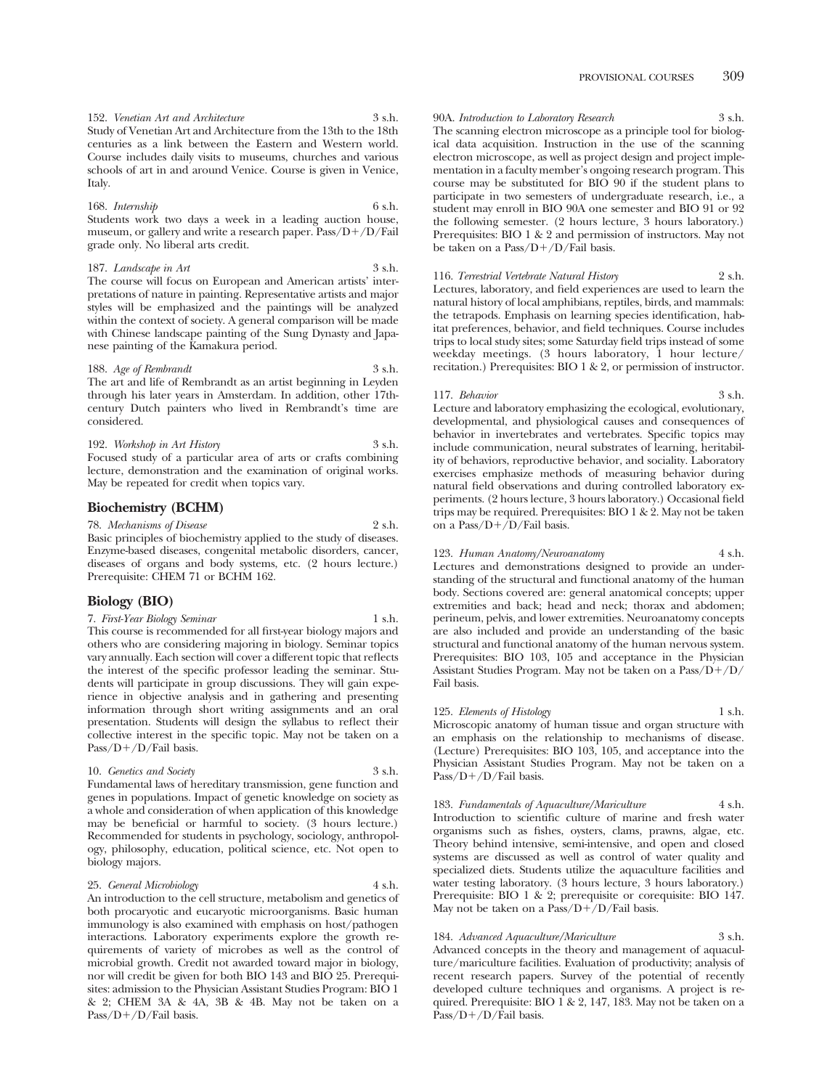152. *Venetian Art and Architecture* 3 s.h. Study of Venetian Art and Architecture from the 13th to the 18th centuries as a link between the Eastern and Western world. Course includes daily visits to museums, churches and various schools of art in and around Venice. Course is given in Venice, Italy.

# 168. *Internship* 6 s.h.

Students work two days a week in a leading auction house, museum, or gallery and write a research paper. Pass/D+/D/Fail grade only. No liberal arts credit.

#### 187. *Landscape in Art* 3 s.h. The course will focus on European and American artists' inter-

pretations of nature in painting. Representative artists and major styles will be emphasized and the paintings will be analyzed within the context of society. A general comparison will be made with Chinese landscape painting of the Sung Dynasty and Japanese painting of the Kamakura period.

#### 188. *Age of Rembrandt* 3 s.h.

The art and life of Rembrandt as an artist beginning in Leyden through his later years in Amsterdam. In addition, other 17thcentury Dutch painters who lived in Rembrandt's time are considered.

#### 192. *Workshop in Art History* 3 s.h. Focused study of a particular area of arts or crafts combining lecture, demonstration and the examination of original works. May be repeated for credit when topics vary.

# **Biochemistry (BCHM)**

78. *Mechanisms of Disease* 2 s.h. Basic principles of biochemistry applied to the study of diseases. Enzyme-based diseases, congenital metabolic disorders, cancer, diseases of organs and body systems, etc. (2 hours lecture.) Prerequisite: CHEM 71 or BCHM 162.

# **Biology (BIO)**

7. *First-Year Biology Seminar* 1 s.h.

This course is recommended for all first-year biology majors and others who are considering majoring in biology. Seminar topics vary annually. Each section will cover a different topic that reflects the interest of the specific professor leading the seminar. Students will participate in group discussions. They will gain experience in objective analysis and in gathering and presenting information through short writing assignments and an oral presentation. Students will design the syllabus to reflect their collective interest in the specific topic. May not be taken on a Pass/D+/D/Fail basis.

#### 10. *Genetics and Society* 3 s.h.

Fundamental laws of hereditary transmission, gene function and genes in populations. Impact of genetic knowledge on society as a whole and consideration of when application of this knowledge may be beneficial or harmful to society. (3 hours lecture.) Recommended for students in psychology, sociology, anthropology, philosophy, education, political science, etc. Not open to biology majors.

# 25. *General Microbiology* 4 s.h.

An introduction to the cell structure, metabolism and genetics of both procaryotic and eucaryotic microorganisms. Basic human immunology is also examined with emphasis on host/pathogen interactions. Laboratory experiments explore the growth requirements of variety of microbes as well as the control of microbial growth. Credit not awarded toward major in biology, nor will credit be given for both BIO 143 and BIO 25. Prerequisites: admission to the Physician Assistant Studies Program: BIO 1 & 2; CHEM 3A & 4A, 3B & 4B. May not be taken on a Pass/D+/D/Fail basis.

90A. *Introduction to Laboratory Research* 3 s.h. The scanning electron microscope as a principle tool for biological data acquisition. Instruction in the use of the scanning electron microscope, as well as project design and project implementation in a faculty member's ongoing research program. This course may be substituted for BIO 90 if the student plans to participate in two semesters of undergraduate research, i.e., a student may enroll in BIO 90A one semester and BIO 91 or 92 the following semester. (2 hours lecture, 3 hours laboratory.) Prerequisites: BIO 1 & 2 and permission of instructors. May not be taken on a Pass/D-/D/Fail basis.

#### 116. *Terrestrial Vertebrate Natural History* 2 s.h.

Lectures, laboratory, and field experiences are used to learn the natural history of local amphibians, reptiles, birds, and mammals: the tetrapods. Emphasis on learning species identification, habitat preferences, behavior, and field techniques. Course includes trips to local study sites; some Saturday field trips instead of some weekday meetings. (3 hours laboratory, 1 hour lecture/ recitation.) Prerequisites: BIO 1 & 2, or permission of instructor.

#### 117. *Behavior* 3 s.h.

Lecture and laboratory emphasizing the ecological, evolutionary, developmental, and physiological causes and consequences of behavior in invertebrates and vertebrates. Specific topics may include communication, neural substrates of learning, heritability of behaviors, reproductive behavior, and sociality. Laboratory exercises emphasize methods of measuring behavior during natural field observations and during controlled laboratory experiments. (2 hours lecture, 3 hours laboratory.) Occasional field trips may be required. Prerequisites: BIO 1 & 2. May not be taken on a Pass/D-/D/Fail basis.

#### 123. *Human Anatomy/Neuroanatomy* 4 s.h.

Lectures and demonstrations designed to provide an understanding of the structural and functional anatomy of the human body. Sections covered are: general anatomical concepts; upper extremities and back; head and neck; thorax and abdomen; perineum, pelvis, and lower extremities. Neuroanatomy concepts are also included and provide an understanding of the basic structural and functional anatomy of the human nervous system. Prerequisites: BIO 103, 105 and acceptance in the Physician Assistant Studies Program. May not be taken on a Pass/D-/D/ Fail basis.

# 125. *Elements of Histology* 1 s.h.

Microscopic anatomy of human tissue and organ structure with an emphasis on the relationship to mechanisms of disease. (Lecture) Prerequisites: BIO 103, 105, and acceptance into the Physician Assistant Studies Program. May not be taken on a Pass/D+/D/Fail basis.

#### 183. *Fundamentals of Aquaculture/Mariculture* 4 s.h. Introduction to scientific culture of marine and fresh water organisms such as fishes, oysters, clams, prawns, algae, etc. Theory behind intensive, semi-intensive, and open and closed systems are discussed as well as control of water quality and specialized diets. Students utilize the aquaculture facilities and water testing laboratory. (3 hours lecture, 3 hours laboratory.) Prerequisite: BIO 1 & 2; prerequisite or corequisite: BIO 147. May not be taken on a Pass/D+/D/Fail basis.

184. *Advanced Aquaculture/Mariculture* 3 s.h. Advanced concepts in the theory and management of aquaculture/mariculture facilities. Evaluation of productivity; analysis of recent research papers. Survey of the potential of recently developed culture techniques and organisms. A project is required. Prerequisite: BIO 1 & 2, 147, 183. May not be taken on a Pass/D+/D/Fail basis.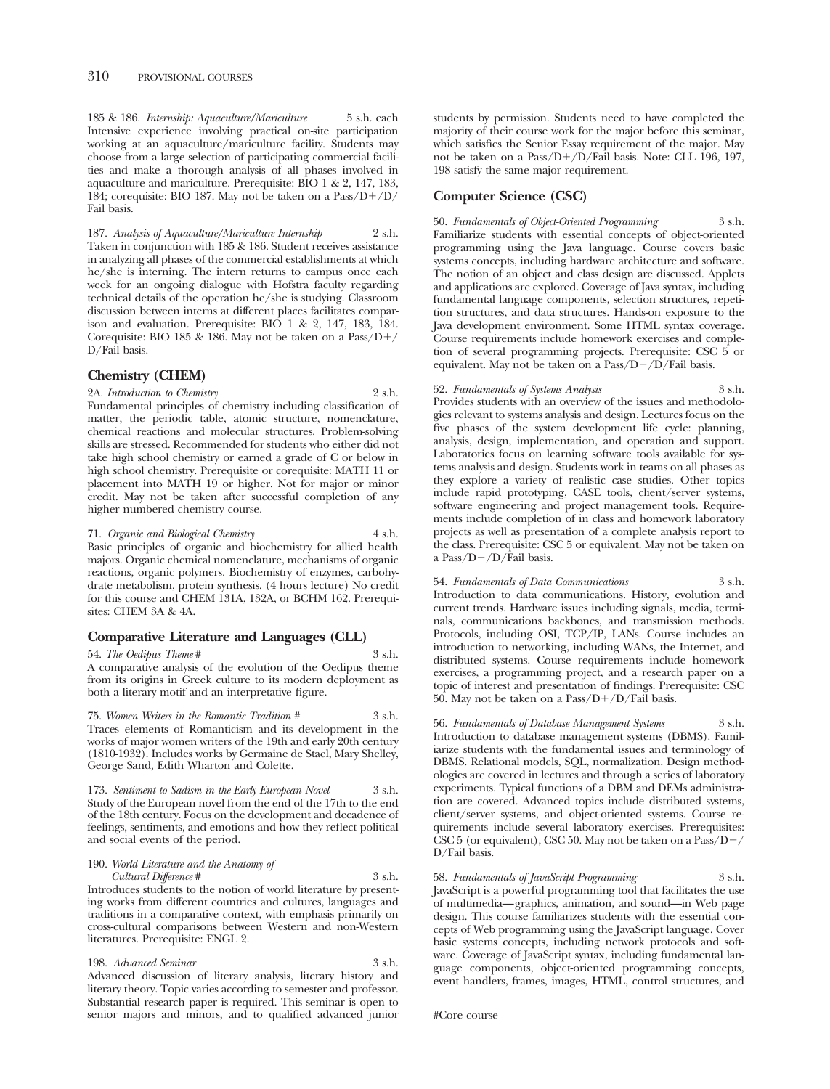185 & 186. *Internship: Aquaculture/Mariculture* 5 s.h. each Intensive experience involving practical on-site participation working at an aquaculture/mariculture facility. Students may choose from a large selection of participating commercial facilities and make a thorough analysis of all phases involved in aquaculture and mariculture. Prerequisite: BIO 1 & 2, 147, 183, 184; corequisite: BIO 187. May not be taken on a Pass/D-/D/ Fail basis.

187. *Analysis of Aquaculture/Mariculture Internship* 2 s.h. Taken in conjunction with 185 & 186. Student receives assistance in analyzing all phases of the commercial establishments at which he/she is interning. The intern returns to campus once each week for an ongoing dialogue with Hofstra faculty regarding technical details of the operation he/she is studying. Classroom discussion between interns at different places facilitates comparison and evaluation. Prerequisite: BIO 1 & 2, 147, 183, 184. Corequisite: BIO 185 & 186. May not be taken on a  $Pass/D+$ D/Fail basis.

# **Chemistry (CHEM)**

2A. *Introduction to Chemistry* 2 s.h. Fundamental principles of chemistry including classification of matter, the periodic table, atomic structure, nomenclature, chemical reactions and molecular structures. Problem-solving skills are stressed. Recommended for students who either did not take high school chemistry or earned a grade of C or below in high school chemistry. Prerequisite or corequisite: MATH 11 or placement into MATH 19 or higher. Not for major or minor credit. May not be taken after successful completion of any higher numbered chemistry course.

71. *Organic and Biological Chemistry* 4 s.h. Basic principles of organic and biochemistry for allied health majors. Organic chemical nomenclature, mechanisms of organic reactions, organic polymers. Biochemistry of enzymes, carbohydrate metabolism, protein synthesis. (4 hours lecture) No credit for this course and CHEM 131A, 132A, or BCHM 162. Prerequisites: CHEM 3A & 4A.

# **Comparative Literature and Languages (CLL)**

54. *The Oedipus Theme* # 3 s.h. A comparative analysis of the evolution of the Oedipus theme from its origins in Greek culture to its modern deployment as both a literary motif and an interpretative figure.

75. *Women Writers in the Romantic Tradition #* 3 s.h. Traces elements of Romanticism and its development in the works of major women writers of the 19th and early 20th century (1810-1932). Includes works by Germaine de Stael, Mary Shelley, George Sand, Edith Wharton and Colette.

173. *Sentiment to Sadism in the Early European Novel* 3 s.h. Study of the European novel from the end of the 17th to the end of the 18th century. Focus on the development and decadence of feelings, sentiments, and emotions and how they reflect political and social events of the period.

190. *World Literature and the Anatomy of Cultural Difference* # 3 s.h. Introduces students to the notion of world literature by present-

ing works from different countries and cultures, languages and traditions in a comparative context, with emphasis primarily on cross-cultural comparisons between Western and non-Western literatures. Prerequisite: ENGL 2.

198. *Advanced Seminar* 3 s.h. Advanced discussion of literary analysis, literary history and literary theory. Topic varies according to semester and professor. Substantial research paper is required. This seminar is open to senior majors and minors, and to qualified advanced junior students by permission. Students need to have completed the majority of their course work for the major before this seminar, which satisfies the Senior Essay requirement of the major. May not be taken on a Pass/D-/D/Fail basis. Note: CLL 196, 197, 198 satisfy the same major requirement.

# **Computer Science (CSC)**

50. *Fundamentals of Object-Oriented Programming* 3 s.h. Familiarize students with essential concepts of object-oriented programming using the Java language. Course covers basic systems concepts, including hardware architecture and software. The notion of an object and class design are discussed. Applets and applications are explored. Coverage of Java syntax, including fundamental language components, selection structures, repetition structures, and data structures. Hands-on exposure to the Java development environment. Some HTML syntax coverage. Course requirements include homework exercises and completion of several programming projects. Prerequisite: CSC 5 or equivalent. May not be taken on a Pass/D+/D/Fail basis.

# 52. *Fundamentals of Systems Analysis* 3 s.h.

Provides students with an overview of the issues and methodologies relevant to systems analysis and design. Lectures focus on the five phases of the system development life cycle: planning, analysis, design, implementation, and operation and support. Laboratories focus on learning software tools available for systems analysis and design. Students work in teams on all phases as they explore a variety of realistic case studies. Other topics include rapid prototyping, CASE tools, client/server systems, software engineering and project management tools. Requirements include completion of in class and homework laboratory projects as well as presentation of a complete analysis report to the class. Prerequisite: CSC 5 or equivalent. May not be taken on a Pass/D-/D/Fail basis.

54. *Fundamentals of Data Communications* 3 s.h. Introduction to data communications. History, evolution and current trends. Hardware issues including signals, media, terminals, communications backbones, and transmission methods. Protocols, including OSI, TCP/IP, LANs. Course includes an introduction to networking, including WANs, the Internet, and distributed systems. Course requirements include homework exercises, a programming project, and a research paper on a topic of interest and presentation of findings. Prerequisite: CSC 50. May not be taken on a Pass/D-/D/Fail basis.

56. *Fundamentals of Database Management Systems* 3 s.h. Introduction to database management systems (DBMS). Familiarize students with the fundamental issues and terminology of DBMS. Relational models, SQL, normalization. Design methodologies are covered in lectures and through a series of laboratory experiments. Typical functions of a DBM and DEMs administration are covered. Advanced topics include distributed systems, client/server systems, and object-oriented systems. Course requirements include several laboratory exercises. Prerequisites: CSC 5 (or equivalent), CSC 50. May not be taken on a Pass/D-/ D/Fail basis.

58. *Fundamentals of JavaScript Programming* 3 s.h. JavaScript is a powerful programming tool that facilitates the use of multimedia— graphics, animation, and sound—in Web page design. This course familiarizes students with the essential concepts of Web programming using the JavaScript language. Cover basic systems concepts, including network protocols and software. Coverage of JavaScript syntax, including fundamental language components, object-oriented programming concepts, event handlers, frames, images, HTML, control structures, and

<sup>#</sup>Core course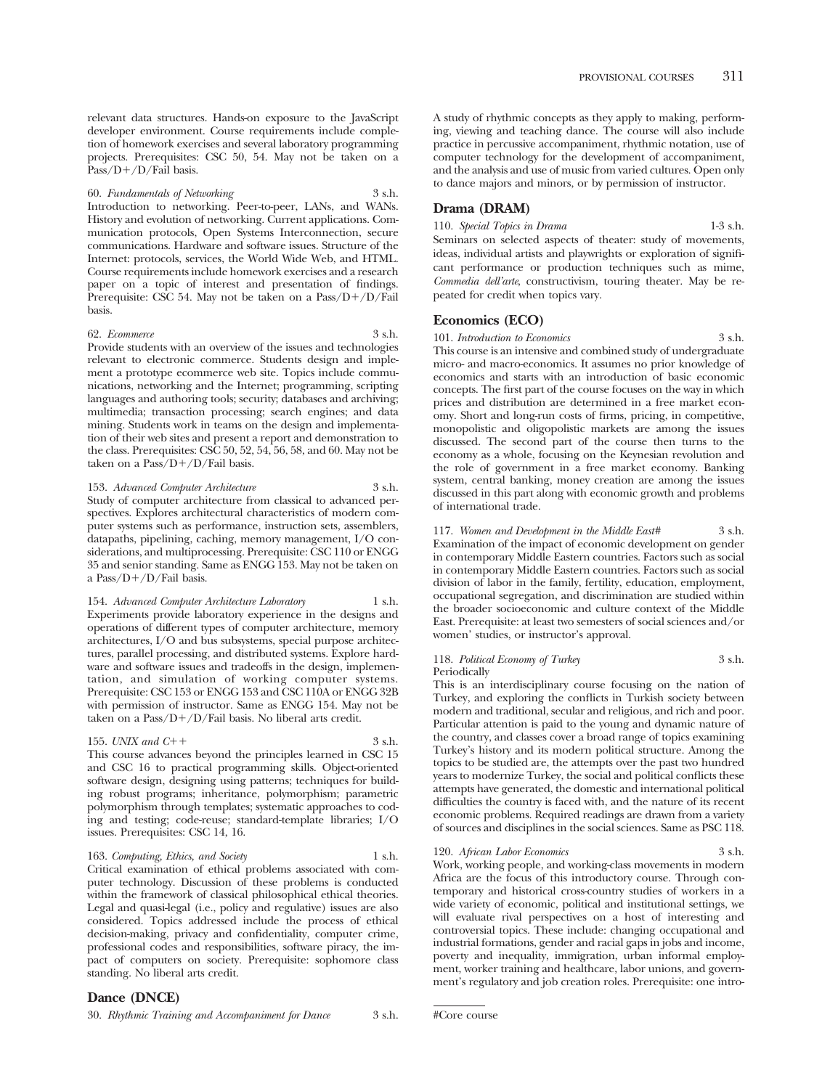relevant data structures. Hands-on exposure to the JavaScript developer environment. Course requirements include completion of homework exercises and several laboratory programming projects. Prerequisites: CSC 50, 54. May not be taken on a Pass/D+/D/Fail basis.

60. *Fundamentals of Networking* 3 s.h. Introduction to networking. Peer-to-peer, LANs, and WANs. History and evolution of networking. Current applications. Communication protocols, Open Systems Interconnection, secure communications. Hardware and software issues. Structure of the Internet: protocols, services, the World Wide Web, and HTML. Course requirements include homework exercises and a research paper on a topic of interest and presentation of findings. Prerequisite: CSC 54. May not be taken on a Pass/D+/D/Fail basis.

#### 62. *Ecommerce* 3 s.h.

Provide students with an overview of the issues and technologies relevant to electronic commerce. Students design and implement a prototype ecommerce web site. Topics include communications, networking and the Internet; programming, scripting languages and authoring tools; security; databases and archiving; multimedia; transaction processing; search engines; and data mining. Students work in teams on the design and implementation of their web sites and present a report and demonstration to the class. Prerequisites: CSC 50, 52, 54, 56, 58, and 60. May not be taken on a Pass/D+/D/Fail basis.

153. *Advanced Computer Architecture* 3 s.h. Study of computer architecture from classical to advanced perspectives. Explores architectural characteristics of modern computer systems such as performance, instruction sets, assemblers, datapaths, pipelining, caching, memory management, I/O considerations, and multiprocessing. Prerequisite: CSC 110 or ENGG 35 and senior standing. Same as ENGG 153. May not be taken on a Pass/D-/D/Fail basis.

154. *Advanced Computer Architecture Laboratory* 1 s.h. Experiments provide laboratory experience in the designs and operations of different types of computer architecture, memory architectures, I/O and bus subsystems, special purpose architectures, parallel processing, and distributed systems. Explore hardware and software issues and tradeoffs in the design, implementation, and simulation of working computer systems. Prerequisite: CSC 153 or ENGG 153 and CSC 110A or ENGG 32B with permission of instructor. Same as ENGG 154. May not be taken on a Pass/D-/D/Fail basis. No liberal arts credit.

#### 155. *UNIX and C*++

 $+$  3 s.h. This course advances beyond the principles learned in CSC 15 and CSC 16 to practical programming skills. Object-oriented software design, designing using patterns; techniques for building robust programs; inheritance, polymorphism; parametric polymorphism through templates; systematic approaches to coding and testing; code-reuse; standard-template libraries; I/O issues. Prerequisites: CSC 14, 16.

#### 163. *Computing, Ethics, and Society* 1 s.h.

Critical examination of ethical problems associated with computer technology. Discussion of these problems is conducted within the framework of classical philosophical ethical theories. Legal and quasi-legal (i.e., policy and regulative) issues are also considered. Topics addressed include the process of ethical decision-making, privacy and confidentiality, computer crime, professional codes and responsibilities, software piracy, the impact of computers on society. Prerequisite: sophomore class standing. No liberal arts credit.

30. *Rhythmic Training and Accompaniment for Dance* 3 s.h.

A study of rhythmic concepts as they apply to making, performing, viewing and teaching dance. The course will also include practice in percussive accompaniment, rhythmic notation, use of computer technology for the development of accompaniment, and the analysis and use of music from varied cultures. Open only to dance majors and minors, or by permission of instructor.

# **Drama (DRAM)**

110. *Special Topics in Drama* 1-3 s.h. Seminars on selected aspects of theater: study of movements, ideas, individual artists and playwrights or exploration of significant performance or production techniques such as mime, *Commedia dell'arte*, constructivism, touring theater. May be repeated for credit when topics vary.

#### **Economics (ECO)**

101. *Introduction to Economics* 3 s.h. This course is an intensive and combined study of undergraduate micro- and macro-economics. It assumes no prior knowledge of economics and starts with an introduction of basic economic concepts. The first part of the course focuses on the way in which prices and distribution are determined in a free market economy. Short and long-run costs of firms, pricing, in competitive, monopolistic and oligopolistic markets are among the issues discussed. The second part of the course then turns to the economy as a whole, focusing on the Keynesian revolution and the role of government in a free market economy. Banking system, central banking, money creation are among the issues discussed in this part along with economic growth and problems of international trade.

### 117. *Women and Development in the Middle East#* 3 s.h. Examination of the impact of economic development on gender in contemporary Middle Eastern countries. Factors such as social

in contemporary Middle Eastern countries. Factors such as social division of labor in the family, fertility, education, employment, occupational segregation, and discrimination are studied within the broader socioeconomic and culture context of the Middle East. Prerequisite: at least two semesters of social sciences and/or women' studies, or instructor's approval.

#### 118. *Political Economy of Turkey* 3 s.h. Periodically

This is an interdisciplinary course focusing on the nation of Turkey, and exploring the conflicts in Turkish society between modern and traditional, secular and religious, and rich and poor. Particular attention is paid to the young and dynamic nature of the country, and classes cover a broad range of topics examining Turkey's history and its modern political structure. Among the topics to be studied are, the attempts over the past two hundred years to modernize Turkey, the social and political conflicts these attempts have generated, the domestic and international political difficulties the country is faced with, and the nature of its recent economic problems. Required readings are drawn from a variety of sources and disciplines in the social sciences. Same as PSC 118.

# 120. *African Labor Economics* 3 s.h.

Work, working people, and working-class movements in modern Africa are the focus of this introductory course. Through contemporary and historical cross-country studies of workers in a wide variety of economic, political and institutional settings, we will evaluate rival perspectives on a host of interesting and controversial topics. These include: changing occupational and industrial formations, gender and racial gaps in jobs and income, poverty and inequality, immigration, urban informal employment, worker training and healthcare, labor unions, and government's regulatory and job creation roles. Prerequisite: one intro-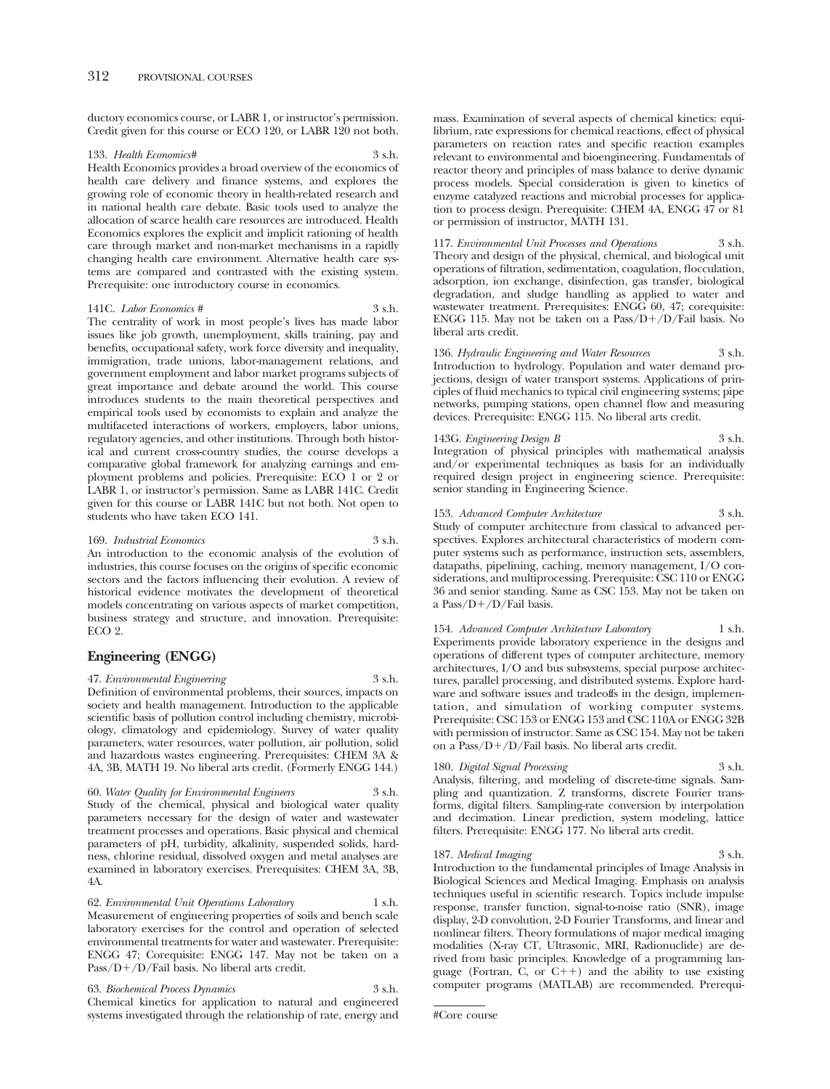ductory economics course, or LABR 1, or instructor's permission. Credit given for this course or ECO 120, or LABR 120 not both.

#### 133. *Health Economics#* 3 s.h.

Health Economics provides a broad overview of the economics of health care delivery and finance systems, and explores the growing role of economic theory in health-related research and in national health care debate. Basic tools used to analyze the allocation of scarce health care resources are introduced. Health Economics explores the explicit and implicit rationing of health care through market and non-market mechanisms in a rapidly changing health care environment. Alternative health care systems are compared and contrasted with the existing system. Prerequisite: one introductory course in economics.

#### 141C. *Labor Economics #* 3 s.h.

The centrality of work in most people's lives has made labor issues like job growth, unemployment, skills training, pay and benefits, occupational safety, work force diversity and inequality, immigration, trade unions, labor-management relations, and government employment and labor market programs subjects of great importance and debate around the world. This course introduces students to the main theoretical perspectives and empirical tools used by economists to explain and analyze the multifaceted interactions of workers, employers, labor unions, regulatory agencies, and other institutions. Through both historical and current cross-country studies, the course develops a comparative global framework for analyzing earnings and employment problems and policies. Prerequisite: ECO 1 or 2 or LABR 1, or instructor's permission. Same as LABR 141C. Credit given for this course or LABR 141C but not both. Not open to students who have taken ECO 141.

#### 169. *Industrial Economics* 3 s.h.

An introduction to the economic analysis of the evolution of industries, this course focuses on the origins of specific economic sectors and the factors influencing their evolution. A review of historical evidence motivates the development of theoretical models concentrating on various aspects of market competition, business strategy and structure, and innovation. Prerequisite: ECO 2.

# **Engineering (ENGG)**

47. *Environmental Engineering* 3 s.h. Definition of environmental problems, their sources, impacts on society and health management. Introduction to the applicable scientific basis of pollution control including chemistry, microbiology, climatology and epidemiology. Survey of water quality parameters, water resources, water pollution, air pollution, solid and hazardous wastes engineering. Prerequisites: CHEM 3A & 4A, 3B, MATH 19. No liberal arts credit. (Formerly ENGG 144.)

60. *Water Quality for Environmental Engineers* 3 s.h. Study of the chemical, physical and biological water quality parameters necessary for the design of water and wastewater treatment processes and operations. Basic physical and chemical parameters of pH, turbidity, alkalinity, suspended solids, hardness, chlorine residual, dissolved oxygen and metal analyses are examined in laboratory exercises. Prerequisites: CHEM 3A, 3B, 4A.

62. *Environmental Unit Operations Laboratory* 1 s.h. Measurement of engineering properties of soils and bench scale laboratory exercises for the control and operation of selected environmental treatments for water and wastewater. Prerequisite: ENGG 47; Corequisite: ENGG 147. May not be taken on a Pass/D+/D/Fail basis. No liberal arts credit.

63. *Biochemical Process Dynamics* 3 s.h. Chemical kinetics for application to natural and engineered systems investigated through the relationship of rate, energy and mass. Examination of several aspects of chemical kinetics: equilibrium, rate expressions for chemical reactions, effect of physical parameters on reaction rates and specific reaction examples relevant to environmental and bioengineering. Fundamentals of reactor theory and principles of mass balance to derive dynamic process models. Special consideration is given to kinetics of enzyme catalyzed reactions and microbial processes for application to process design. Prerequisite: CHEM 4A, ENGG 47 or 81 or permission of instructor, MATH 131.

117. *Environmental Unit Processes and Operations* 3 s.h. Theory and design of the physical, chemical, and biological unit operations of filtration, sedimentation, coagulation, flocculation, adsorption, ion exchange, disinfection, gas transfer, biological degradation, and sludge handling as applied to water and wastewater treatment. Prerequisites: ENGG 60, 47; corequisite: ENGG 115. May not be taken on a Pass/D-/D/Fail basis. No liberal arts credit.

136. *Hydraulic Engineering and Water Resources* 3 s.h. Introduction to hydrology. Population and water demand projections, design of water transport systems. Applications of principles of fluid mechanics to typical civil engineering systems; pipe networks, pumping stations, open channel flow and measuring devices. Prerequisite: ENGG 115. No liberal arts credit.

143G. *Engineering Design B* 3 s.h. Integration of physical principles with mathematical analysis and/or experimental techniques as basis for an individually required design project in engineering science. Prerequisite: senior standing in Engineering Science.

153. *Advanced Computer Architecture* 3 s.h. Study of computer architecture from classical to advanced perspectives. Explores architectural characteristics of modern computer systems such as performance, instruction sets, assemblers, datapaths, pipelining, caching, memory management, I/O considerations, and multiprocessing. Prerequisite: CSC 110 or ENGG 36 and senior standing. Same as CSC 153. May not be taken on a Pass/D-/D/Fail basis.

154. *Advanced Computer Architecture Laboratory* 1 s.h. Experiments provide laboratory experience in the designs and operations of different types of computer architecture, memory architectures, I/O and bus subsystems, special purpose architectures, parallel processing, and distributed systems. Explore hardware and software issues and tradeoffs in the design, implementation, and simulation of working computer systems. Prerequisite: CSC 153 or ENGG 153 and CSC 110A or ENGG 32B with permission of instructor. Same as CSC 154. May not be taken on a Pass/D-/D/Fail basis. No liberal arts credit.

180. *Digital Signal Processing* 3 s.h. Analysis, filtering, and modeling of discrete-time signals. Sampling and quantization. Z transforms, discrete Fourier transforms, digital filters. Sampling-rate conversion by interpolation and decimation. Linear prediction, system modeling, lattice filters. Prerequisite: ENGG 177. No liberal arts credit.

187. *Medical Imaging* 3 s.h. Introduction to the fundamental principles of Image Analysis in Biological Sciences and Medical Imaging. Emphasis on analysis techniques useful in scientific research. Topics include impulse response, transfer function, signal-to-noise ratio (SNR), image display, 2-D convolution, 2-D Fourier Transforms, and linear and nonlinear filters. Theory formulations of major medical imaging modalities (X-ray CT, Ultrasonic, MRI, Radionuclide) are derived from basic principles. Knowledge of a programming language (Fortran, C, or  $C_{++}$ ) and the ability to use existing computer programs (MATLAB) are recommended. Prerequi-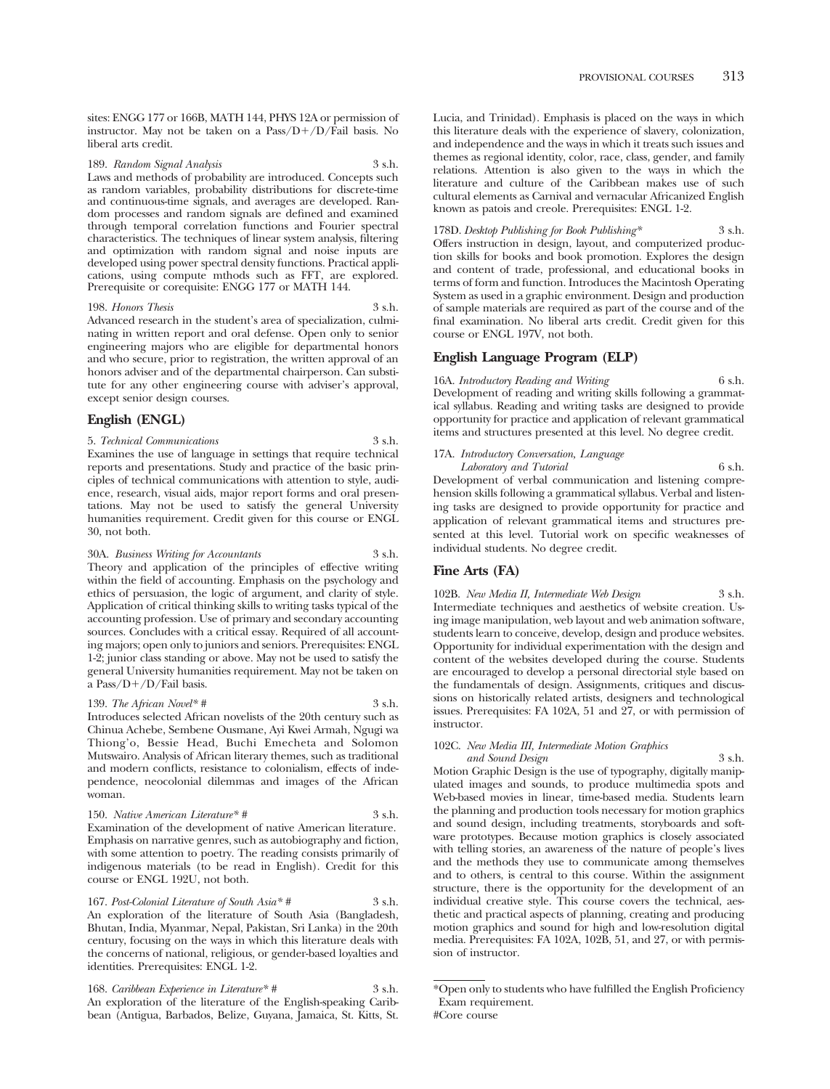sites: ENGG 177 or 166B, MATH 144, PHYS 12A or permission of instructor. May not be taken on a Pass/D+/D/Fail basis. No liberal arts credit.

189. *Random Signal Analysis* 3 s.h. Laws and methods of probability are introduced. Concepts such as random variables, probability distributions for discrete-time and continuous-time signals, and averages are developed. Random processes and random signals are defined and examined through temporal correlation functions and Fourier spectral characteristics. The techniques of linear system analysis, filtering and optimization with random signal and noise inputs are developed using power spectral density functions. Practical applications, using compute mthods such as FFT, are explored. Prerequisite or corequisite: ENGG 177 or MATH 144.

198. *Honors Thesis* 3 s.h.

Advanced research in the student's area of specialization, culminating in written report and oral defense. Open only to senior engineering majors who are eligible for departmental honors and who secure, prior to registration, the written approval of an honors adviser and of the departmental chairperson. Can substitute for any other engineering course with adviser's approval, except senior design courses.

# **English (ENGL)**

5. *Technical Communications* 3 s.h. Examines the use of language in settings that require technical reports and presentations. Study and practice of the basic principles of technical communications with attention to style, audience, research, visual aids, major report forms and oral presentations. May not be used to satisfy the general University humanities requirement. Credit given for this course or ENGL 30, not both.

30A. *Business Writing for Accountants* 3 s.h. Theory and application of the principles of effective writing within the field of accounting. Emphasis on the psychology and ethics of persuasion, the logic of argument, and clarity of style. Application of critical thinking skills to writing tasks typical of the accounting profession. Use of primary and secondary accounting sources. Concludes with a critical essay. Required of all accounting majors; open only to juniors and seniors. Prerequisites: ENGL 1-2; junior class standing or above. May not be used to satisfy the general University humanities requirement. May not be taken on a Pass/D-/D/Fail basis.

139. *The African Novel\* #* 3 s.h. Introduces selected African novelists of the 20th century such as Chinua Achebe, Sembene Ousmane, Ayi Kwei Armah, Ngugi wa Thiong'o, Bessie Head, Buchi Emecheta and Solomon Mutswairo. Analysis of African literary themes, such as traditional and modern conflicts, resistance to colonialism, effects of independence, neocolonial dilemmas and images of the African woman.

150. *Native American Literature\* #* 3 s.h. Examination of the development of native American literature. Emphasis on narrative genres, such as autobiography and fiction, with some attention to poetry. The reading consists primarily of indigenous materials (to be read in English). Credit for this course or ENGL 192U, not both.

167. *Post-Colonial Literature of South Asia\* #* 3 s.h. An exploration of the literature of South Asia (Bangladesh, Bhutan, India, Myanmar, Nepal, Pakistan, Sri Lanka) in the 20th century, focusing on the ways in which this literature deals with the concerns of national, religious, or gender-based loyalties and identities. Prerequisites: ENGL 1-2.

168. *Caribbean Experience in Literature\* #* 3 s.h. An exploration of the literature of the English-speaking Caribbean (Antigua, Barbados, Belize, Guyana, Jamaica, St. Kitts, St. Lucia, and Trinidad). Emphasis is placed on the ways in which this literature deals with the experience of slavery, colonization, and independence and the ways in which it treats such issues and themes as regional identity, color, race, class, gender, and family relations. Attention is also given to the ways in which the literature and culture of the Caribbean makes use of such cultural elements as Carnival and vernacular Africanized English known as patois and creole. Prerequisites: ENGL 1-2.

# 178D. *Desktop Publishing for Book Publishing\** 3 s.h.

Offers instruction in design, layout, and computerized production skills for books and book promotion. Explores the design and content of trade, professional, and educational books in terms of form and function. Introduces the Macintosh Operating System as used in a graphic environment. Design and production of sample materials are required as part of the course and of the final examination. No liberal arts credit. Credit given for this course or ENGL 197V, not both.

# **English Language Program (ELP)**

16A. *Introductory Reading and Writing* 6 s.h. Development of reading and writing skills following a grammatical syllabus. Reading and writing tasks are designed to provide opportunity for practice and application of relevant grammatical items and structures presented at this level. No degree credit.

17A. *Introductory Conversation, Language* 

*Laboratory and Tutorial* 6 s.h. Development of verbal communication and listening comprehension skills following a grammatical syllabus. Verbal and listening tasks are designed to provide opportunity for practice and application of relevant grammatical items and structures presented at this level. Tutorial work on specific weaknesses of individual students. No degree credit.

# **Fine Arts (FA)**

102B. *New Media II, Intermediate Web Design* 3 s.h. Intermediate techniques and aesthetics of website creation. Using image manipulation, web layout and web animation software, students learn to conceive, develop, design and produce websites. Opportunity for individual experimentation with the design and content of the websites developed during the course. Students are encouraged to develop a personal directorial style based on the fundamentals of design. Assignments, critiques and discussions on historically related artists, designers and technological issues. Prerequisites: FA 102A, 51 and 27, or with permission of instructor.

# 102C. *New Media III, Intermediate Motion Graphics*

*and Sound Design* 3 s.h. Motion Graphic Design is the use of typography, digitally manipulated images and sounds, to produce multimedia spots and Web-based movies in linear, time-based media. Students learn the planning and production tools necessary for motion graphics and sound design, including treatments, storyboards and software prototypes. Because motion graphics is closely associated with telling stories, an awareness of the nature of people's lives and the methods they use to communicate among themselves and to others, is central to this course. Within the assignment structure, there is the opportunity for the development of an individual creative style. This course covers the technical, aesthetic and practical aspects of planning, creating and producing motion graphics and sound for high and low-resolution digital media. Prerequisites: FA 102A, 102B, 51, and 27, or with permission of instructor.

<sup>\*</sup>Open only to students who have fulfilled the English Proficiency Exam requirement. #Core course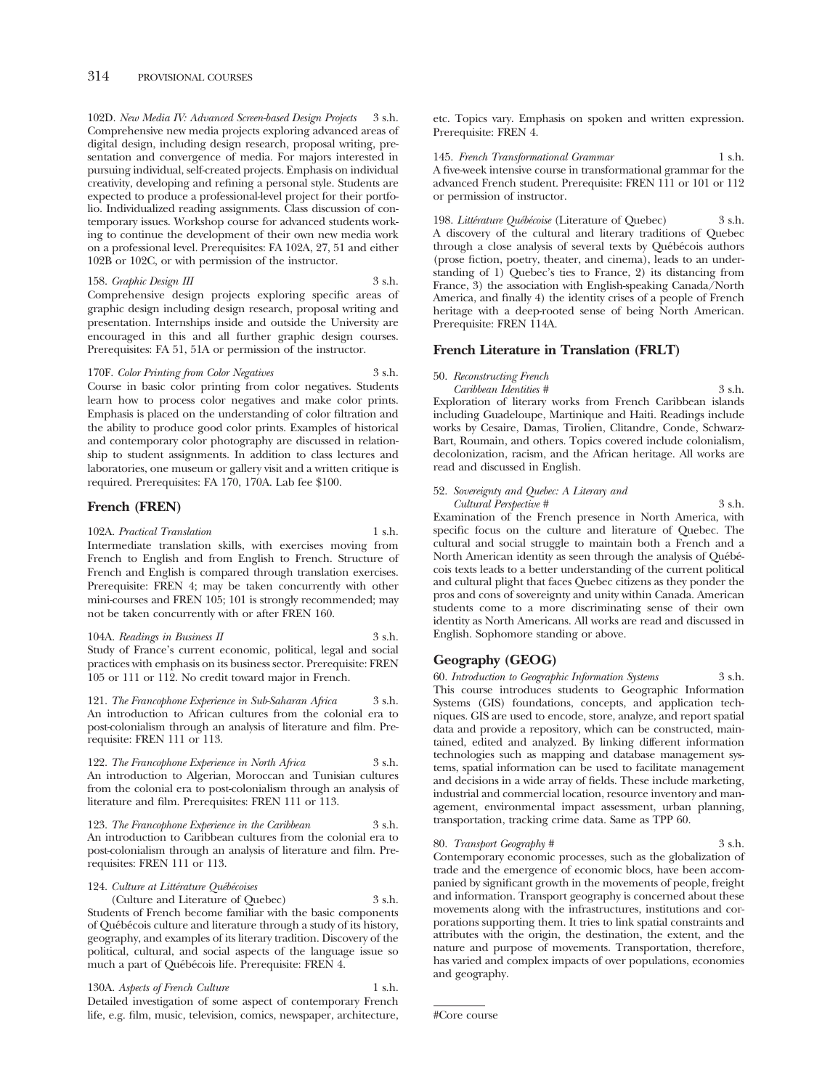102D. *New Media IV: Advanced Screen-based Design Projects* 3 s.h. Comprehensive new media projects exploring advanced areas of digital design, including design research, proposal writing, presentation and convergence of media. For majors interested in pursuing individual, self-created projects. Emphasis on individual creativity, developing and refining a personal style. Students are expected to produce a professional-level project for their portfolio. Individualized reading assignments. Class discussion of contemporary issues. Workshop course for advanced students working to continue the development of their own new media work on a professional level. Prerequisites: FA 102A, 27, 51 and either 102B or 102C, or with permission of the instructor.

158. *Graphic Design III* 3 s.h. Comprehensive design projects exploring specific areas of graphic design including design research, proposal writing and presentation. Internships inside and outside the University are encouraged in this and all further graphic design courses. Prerequisites: FA 51, 51A or permission of the instructor.

170F. *Color Printing from Color Negatives* 3 s.h. Course in basic color printing from color negatives. Students learn how to process color negatives and make color prints. Emphasis is placed on the understanding of color filtration and the ability to produce good color prints. Examples of historical and contemporary color photography are discussed in relationship to student assignments. In addition to class lectures and laboratories, one museum or gallery visit and a written critique is required. Prerequisites: FA 170, 170A. Lab fee \$100.

# **French (FREN)**

102A. *Practical Translation* 1 s.h.

Intermediate translation skills, with exercises moving from French to English and from English to French. Structure of French and English is compared through translation exercises. Prerequisite: FREN 4; may be taken concurrently with other mini-courses and FREN 105; 101 is strongly recommended; may not be taken concurrently with or after FREN 160.

104A. *Readings in Business II* 3 s.h. Study of France's current economic, political, legal and social practices with emphasis on its business sector. Prerequisite: FREN 105 or 111 or 112. No credit toward major in French.

121. *The Francophone Experience in Sub-Saharan Africa* 3 s.h. An introduction to African cultures from the colonial era to post-colonialism through an analysis of literature and film. Prerequisite: FREN 111 or 113.

122. *The Francophone Experience in North Africa* 3 s.h. An introduction to Algerian, Moroccan and Tunisian cultures from the colonial era to post-colonialism through an analysis of literature and film. Prerequisites: FREN 111 or 113.

123. *The Francophone Experience in the Caribbean* 3 s.h. An introduction to Caribbean cultures from the colonial era to post-colonialism through an analysis of literature and film. Prerequisites: FREN 111 or 113.

#### 124. Culture at Littérature Québécoises

(Culture and Literature of Quebec) 3 s.h. Students of French become familiar with the basic components of Québécois culture and literature through a study of its history, geography, and examples of its literary tradition. Discovery of the political, cultural, and social aspects of the language issue so much a part of Québécois life. Prerequisite: FREN 4.

130A. *Aspects of French Culture* 1 s.h. Detailed investigation of some aspect of contemporary French life, e.g. film, music, television, comics, newspaper, architecture, etc. Topics vary. Emphasis on spoken and written expression. Prerequisite: FREN 4.

145. *French Transformational Grammar* 1 s.h. A five-week intensive course in transformational grammar for the advanced French student. Prerequisite: FREN 111 or 101 or 112 or permission of instructor.

198. *Littérature Québécoise* (Literature of Quebec) 3 s.h. A discovery of the cultural and literary traditions of Quebec through a close analysis of several texts by Québécois authors (prose fiction, poetry, theater, and cinema), leads to an understanding of 1) Quebec's ties to France, 2) its distancing from France, 3) the association with English-speaking Canada/North America, and finally 4) the identity crises of a people of French heritage with a deep-rooted sense of being North American. Prerequisite: FREN 114A.

# **French Literature in Translation (FRLT)**

50. *Reconstructing French* 

*Caribbean Identities #* 3 s.h. Exploration of literary works from French Caribbean islands including Guadeloupe, Martinique and Haiti. Readings include works by Cesaire, Damas, Tirolien, Clitandre, Conde, Schwarz-Bart, Roumain, and others. Topics covered include colonialism, decolonization, racism, and the African heritage. All works are read and discussed in English.

# 52. *Sovereignty and Quebec: A Literary and*

*Cultural Perspective #* 3 s.h. Examination of the French presence in North America, with specific focus on the culture and literature of Quebec. The cultural and social struggle to maintain both a French and a North American identity as seen through the analysis of Québécois texts leads to a better understanding of the current political and cultural plight that faces Quebec citizens as they ponder the pros and cons of sovereignty and unity within Canada. American students come to a more discriminating sense of their own identity as North Americans. All works are read and discussed in English. Sophomore standing or above.

# **Geography (GEOG)**

60. *Introduction to Geographic Information Systems* 3 s.h. This course introduces students to Geographic Information Systems (GIS) foundations, concepts, and application techniques. GIS are used to encode, store, analyze, and report spatial data and provide a repository, which can be constructed, maintained, edited and analyzed. By linking different information technologies such as mapping and database management systems, spatial information can be used to facilitate management and decisions in a wide array of fields. These include marketing, industrial and commercial location, resource inventory and management, environmental impact assessment, urban planning, transportation, tracking crime data. Same as TPP 60.

#### 80. *Transport Geography #* 3 s.h.

Contemporary economic processes, such as the globalization of trade and the emergence of economic blocs, have been accompanied by significant growth in the movements of people, freight and information. Transport geography is concerned about these movements along with the infrastructures, institutions and corporations supporting them. It tries to link spatial constraints and attributes with the origin, the destination, the extent, and the nature and purpose of movements. Transportation, therefore, has varied and complex impacts of over populations, economies and geography.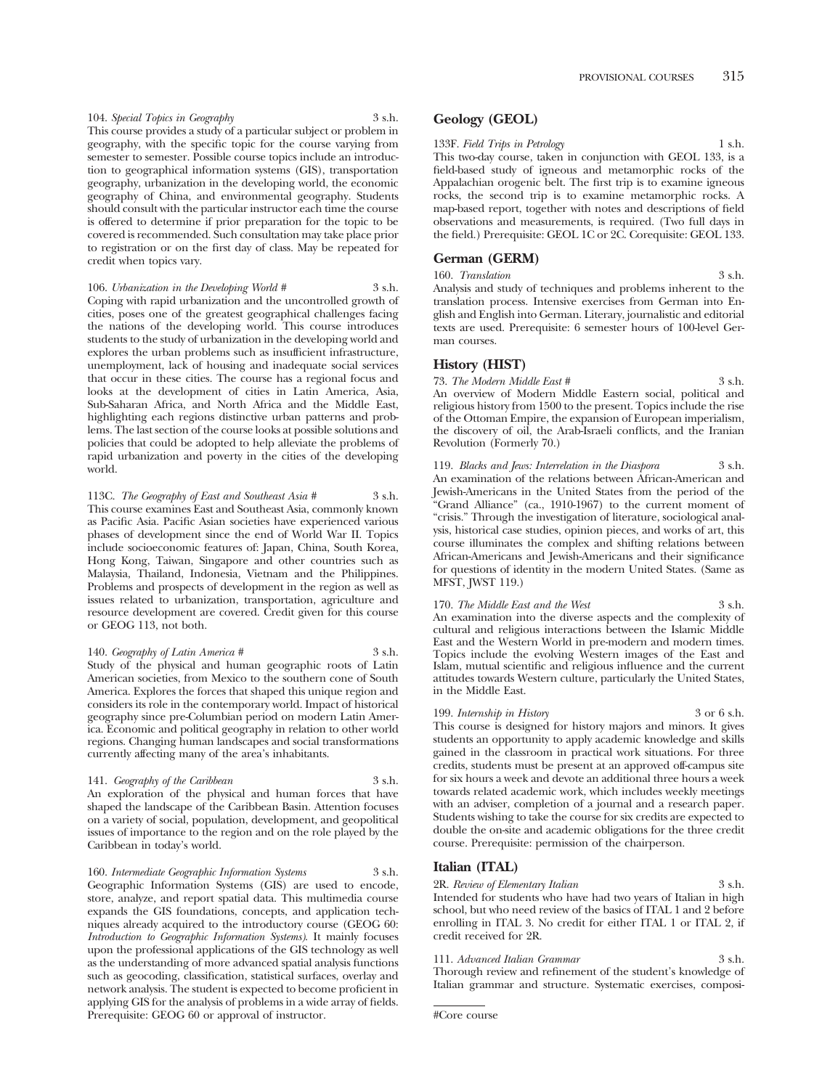104. *Special Topics in Geography* 3 s.h. This course provides a study of a particular subject or problem in geography, with the specific topic for the course varying from semester to semester. Possible course topics include an introduction to geographical information systems (GIS), transportation geography, urbanization in the developing world, the economic geography of China, and environmental geography. Students should consult with the particular instructor each time the course is offered to determine if prior preparation for the topic to be covered is recommended. Such consultation may take place prior to registration or on the first day of class. May be repeated for credit when topics vary.

106. *Urbanization in the Developing World #* 3 s.h.

Coping with rapid urbanization and the uncontrolled growth of cities, poses one of the greatest geographical challenges facing the nations of the developing world. This course introduces students to the study of urbanization in the developing world and explores the urban problems such as insufficient infrastructure, unemployment, lack of housing and inadequate social services that occur in these cities. The course has a regional focus and looks at the development of cities in Latin America, Asia, Sub-Saharan Africa, and North Africa and the Middle East, highlighting each regions distinctive urban patterns and problems. The last section of the course looks at possible solutions and policies that could be adopted to help alleviate the problems of rapid urbanization and poverty in the cities of the developing world.

113C. *The Geography of East and Southeast Asia #* 3 s.h. This course examines East and Southeast Asia, commonly known as Pacific Asia. Pacific Asian societies have experienced various phases of development since the end of World War II. Topics include socioeconomic features of: Japan, China, South Korea, Hong Kong, Taiwan, Singapore and other countries such as Malaysia, Thailand, Indonesia, Vietnam and the Philippines. Problems and prospects of development in the region as well as issues related to urbanization, transportation, agriculture and resource development are covered. Credit given for this course or GEOG 113, not both.

140. *Geography of Latin America #* 3 s.h. Study of the physical and human geographic roots of Latin American societies, from Mexico to the southern cone of South America. Explores the forces that shaped this unique region and considers its role in the contemporary world. Impact of historical geography since pre-Columbian period on modern Latin America. Economic and political geography in relation to other world regions. Changing human landscapes and social transformations currently affecting many of the area's inhabitants.

141. *Geography of the Caribbean* 3 s.h. An exploration of the physical and human forces that have shaped the landscape of the Caribbean Basin. Attention focuses on a variety of social, population, development, and geopolitical issues of importance to the region and on the role played by the Caribbean in today's world.

160. *Intermediate Geographic Information Systems* 3 s.h. Geographic Information Systems (GIS) are used to encode, store, analyze, and report spatial data. This multimedia course expands the GIS foundations, concepts, and application techniques already acquired to the introductory course (GEOG 60: *Introduction to Geographic Information Systems)*. It mainly focuses upon the professional applications of the GIS technology as well as the understanding of more advanced spatial analysis functions such as geocoding, classification, statistical surfaces, overlay and network analysis. The student is expected to become proficient in applying GIS for the analysis of problems in a wide array of fields. Prerequisite: GEOG 60 or approval of instructor.

# **Geology (GEOL)**

133F. *Field Trips in Petrology* 1 s.h. This two-day course, taken in conjunction with GEOL 133, is a field-based study of igneous and metamorphic rocks of the Appalachian orogenic belt. The first trip is to examine igneous rocks, the second trip is to examine metamorphic rocks. A map-based report, together with notes and descriptions of field observations and measurements, is required. (Two full days in the field.) Prerequisite: GEOL 1C or 2C. Corequisite: GEOL 133.

# **German (GERM)**

160. Translation 3 s.h. Analysis and study of techniques and problems inherent to the translation process. Intensive exercises from German into English and English into German. Literary, journalistic and editorial texts are used. Prerequisite: 6 semester hours of 100-level German courses.

# **History (HIST)**

73. *The Modern Middle East #* 3 s.h. An overview of Modern Middle Eastern social, political and religious history from 1500 to the present. Topics include the rise of the Ottoman Empire, the expansion of European imperialism, the discovery of oil, the Arab-Israeli conflicts, and the Iranian Revolution (Formerly 70.)

119. *Blacks and Jews: Interrelation in the Diaspora* 3 s.h. An examination of the relations between African-American and Jewish-Americans in the United States from the period of the "Grand Alliance" (ca., 1910-1967) to the current moment of "crisis." Through the investigation of literature, sociological analysis, historical case studies, opinion pieces, and works of art, this course illuminates the complex and shifting relations between African-Americans and Jewish-Americans and their significance for questions of identity in the modern United States. (Same as MFST, JWST 119.)

170. *The Middle East and the West* 3 s.h. An examination into the diverse aspects and the complexity of cultural and religious interactions between the Islamic Middle East and the Western World in pre-modern and modern times. Topics include the evolving Western images of the East and Islam, mutual scientific and religious influence and the current attitudes towards Western culture, particularly the United States, in the Middle East.

199. *Internship in History* 3 or 6 s.h. This course is designed for history majors and minors. It gives students an opportunity to apply academic knowledge and skills gained in the classroom in practical work situations. For three credits, students must be present at an approved off-campus site for six hours a week and devote an additional three hours a week towards related academic work, which includes weekly meetings with an adviser, completion of a journal and a research paper. Students wishing to take the course for six credits are expected to double the on-site and academic obligations for the three credit course. Prerequisite: permission of the chairperson.

# **Italian (ITAL)**

2R. *Review of Elementary Italian* 3 s.h. Intended for students who have had two years of Italian in high school, but who need review of the basics of ITAL 1 and 2 before enrolling in ITAL 3. No credit for either ITAL 1 or ITAL 2, if credit received for 2R.

111. *Advanced Italian Grammar* 3 s.h. Thorough review and refinement of the student's knowledge of Italian grammar and structure. Systematic exercises, composi-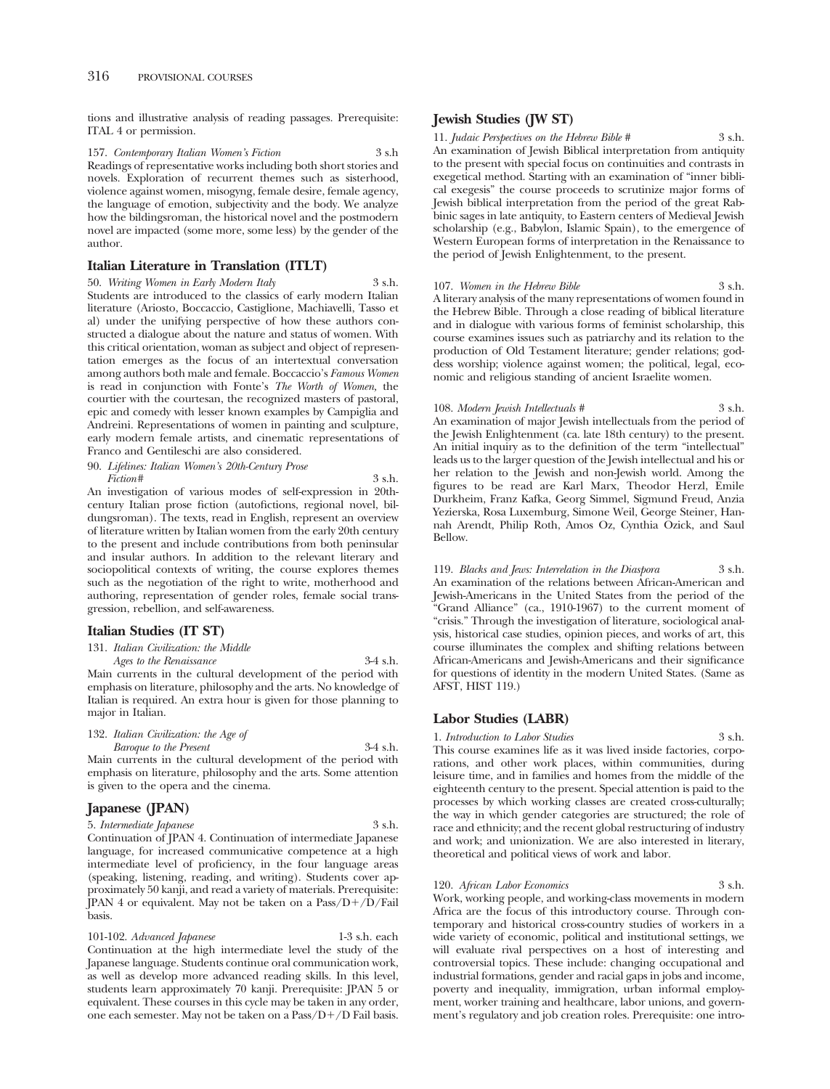tions and illustrative analysis of reading passages. Prerequisite: ITAL 4 or permission.

157. *Contemporary Italian Women's Fiction* 3 s.h Readings of representative works including both short stories and novels. Exploration of recurrent themes such as sisterhood, violence against women, misogyng, female desire, female agency, the language of emotion, subjectivity and the body. We analyze how the bildingsroman, the historical novel and the postmodern novel are impacted (some more, some less) by the gender of the author.

# **Italian Literature in Translation (ITLT)**

50. *Writing Women in Early Modern Italy* 3 s.h. Students are introduced to the classics of early modern Italian literature (Ariosto, Boccaccio, Castiglione, Machiavelli, Tasso et al) under the unifying perspective of how these authors constructed a dialogue about the nature and status of women. With this critical orientation, woman as subject and object of representation emerges as the focus of an intertextual conversation among authors both male and female. Boccaccio's *Famous Women*  is read in conjunction with Fonte's *The Worth of Women,* the courtier with the courtesan, the recognized masters of pastoral, epic and comedy with lesser known examples by Campiglia and Andreini. Representations of women in painting and sculpture, early modern female artists, and cinematic representations of Franco and Gentileschi are also considered.

90. *Lifelines: Italian Women's 20th-Century Prose Fiction* # 3 s.h.

An investigation of various modes of self-expression in 20thcentury Italian prose fiction (autofictions, regional novel, bildungsroman). The texts, read in English, represent an overview of literature written by Italian women from the early 20th century to the present and include contributions from both peninsular and insular authors. In addition to the relevant literary and sociopolitical contexts of writing, the course explores themes such as the negotiation of the right to write, motherhood and authoring, representation of gender roles, female social transgression, rebellion, and self-awareness.

#### **Italian Studies (IT ST)**

131. *Italian Civilization: the Middle* 

*Ages to the Renaissance* 3-4 s.h. Main currents in the cultural development of the period with emphasis on literature, philosophy and the arts. No knowledge of Italian is required. An extra hour is given for those planning to major in Italian.

| 132. Italian Civilization: the Age of                            |            |
|------------------------------------------------------------------|------------|
| Baroque to the Present                                           | $3-4$ s.h. |
| Main announce in the antennal danslamearers of the maniacle with |            |

Main currents in the cultural development of the period with emphasis on literature, philosophy and the arts. Some attention is given to the opera and the cinema.

# **Japanese (JPAN)**

5. *Intermediate Japanese* 3 s.h. Continuation of JPAN 4. Continuation of intermediate Japanese language, for increased communicative competence at a high intermediate level of proficiency, in the four language areas (speaking, listening, reading, and writing). Students cover approximately 50 kanji, and read a variety of materials. Prerequisite: JPAN 4 or equivalent. May not be taken on a Pass/D+/D/Fail basis.

101-102. *Advanced Japanese* 1-3 s.h. each Continuation at the high intermediate level the study of the Japanese language. Students continue oral communication work, as well as develop more advanced reading skills. In this level, students learn approximately 70 kanji. Prerequisite: JPAN 5 or equivalent. These courses in this cycle may be taken in any order, one each semester. May not be taken on a Pass/D-/D Fail basis.

# **Jewish Studies (JW ST)**

11. *Judaic Perspectives on the Hebrew Bible #* 3 s.h. An examination of Jewish Biblical interpretation from antiquity to the present with special focus on continuities and contrasts in exegetical method. Starting with an examination of "inner biblical exegesis" the course proceeds to scrutinize major forms of Jewish biblical interpretation from the period of the great Rabbinic sages in late antiquity, to Eastern centers of Medieval Jewish scholarship (e.g., Babylon, Islamic Spain), to the emergence of Western European forms of interpretation in the Renaissance to the period of Jewish Enlightenment, to the present.

107. *Women in the Hebrew Bible* 3 s.h. A literary analysis of the many representations of women found in the Hebrew Bible. Through a close reading of biblical literature and in dialogue with various forms of feminist scholarship, this course examines issues such as patriarchy and its relation to the production of Old Testament literature; gender relations; goddess worship; violence against women; the political, legal, economic and religious standing of ancient Israelite women.

108. *Modern Jewish Intellectuals #* 3 s.h. An examination of major Jewish intellectuals from the period of the Jewish Enlightenment (ca. late 18th century) to the present. An initial inquiry as to the definition of the term "intellectual" leads us to the larger question of the Jewish intellectual and his or her relation to the Jewish and non-Jewish world. Among the figures to be read are Karl Marx, Theodor Herzl, Emile Durkheim, Franz Kafka, Georg Simmel, Sigmund Freud, Anzia Yezierska, Rosa Luxemburg, Simone Weil, George Steiner, Hannah Arendt, Philip Roth, Amos Oz, Cynthia Ozick, and Saul Bellow.

119. *Blacks and Jews: Interrelation in the Diaspora* 3 s.h. An examination of the relations between African-American and Jewish-Americans in the United States from the period of the "Grand Alliance" (ca., 1910-1967) to the current moment of "crisis." Through the investigation of literature, sociological analysis, historical case studies, opinion pieces, and works of art, this course illuminates the complex and shifting relations between African-Americans and Jewish-Americans and their significance for questions of identity in the modern United States. (Same as AFST, HIST 119.)

# **Labor Studies (LABR)**

1. *Introduction to Labor Studies* 3 s.h. This course examines life as it was lived inside factories, corporations, and other work places, within communities, during leisure time, and in families and homes from the middle of the eighteenth century to the present. Special attention is paid to the processes by which working classes are created cross-culturally; the way in which gender categories are structured; the role of race and ethnicity; and the recent global restructuring of industry and work; and unionization. We are also interested in literary,

#### 120. *African Labor Economics* 3 s.h.

theoretical and political views of work and labor.

Work, working people, and working-class movements in modern Africa are the focus of this introductory course. Through contemporary and historical cross-country studies of workers in a wide variety of economic, political and institutional settings, we will evaluate rival perspectives on a host of interesting and controversial topics. These include: changing occupational and industrial formations, gender and racial gaps in jobs and income, poverty and inequality, immigration, urban informal employment, worker training and healthcare, labor unions, and government's regulatory and job creation roles. Prerequisite: one intro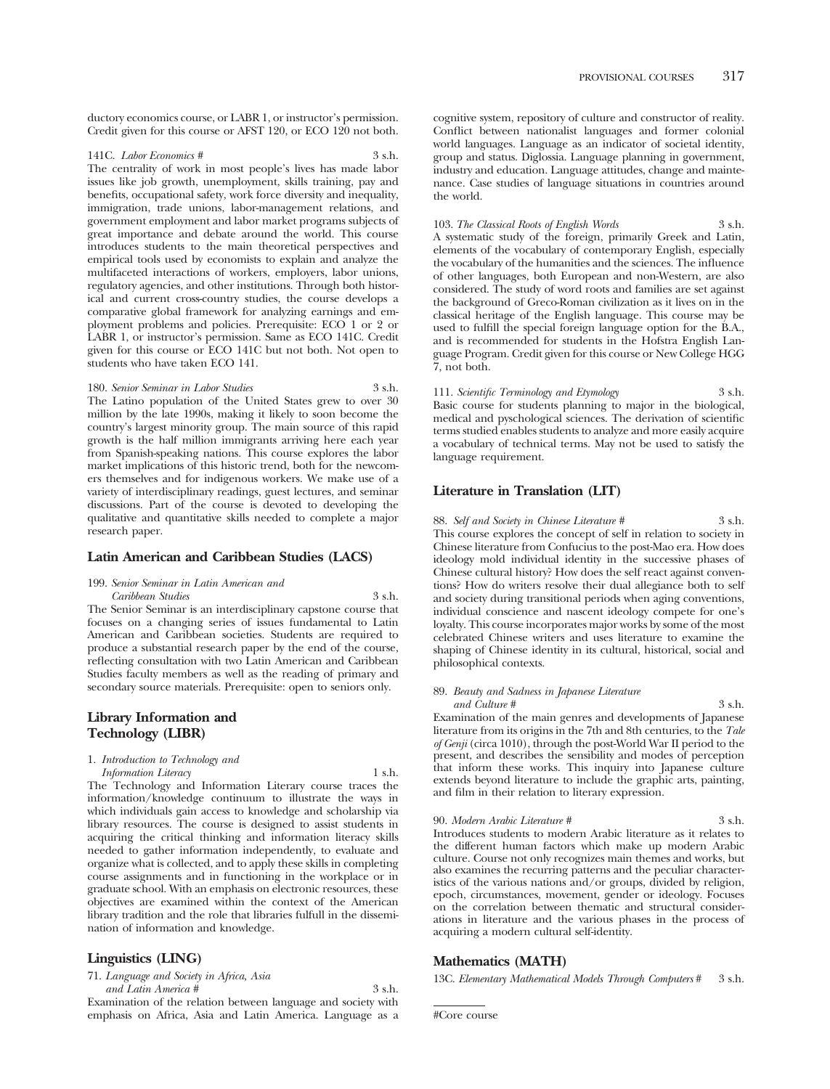ductory economics course, or LABR 1, or instructor's permission. Credit given for this course or AFST 120, or ECO 120 not both.

#### 141C. *Labor Economics #* 3 s.h.

The centrality of work in most people's lives has made labor issues like job growth, unemployment, skills training, pay and benefits, occupational safety, work force diversity and inequality, immigration, trade unions, labor-management relations, and government employment and labor market programs subjects of great importance and debate around the world. This course introduces students to the main theoretical perspectives and empirical tools used by economists to explain and analyze the multifaceted interactions of workers, employers, labor unions, regulatory agencies, and other institutions. Through both historical and current cross-country studies, the course develops a comparative global framework for analyzing earnings and employment problems and policies. Prerequisite: ECO 1 or 2 or LABR 1, or instructor's permission. Same as ECO 141C. Credit given for this course or ECO 141C but not both. Not open to students who have taken ECO 141.

180. *Senior Seminar in Labor Studies* 3 s.h. The Latino population of the United States grew to over 30 million by the late 1990s, making it likely to soon become the country's largest minority group. The main source of this rapid growth is the half million immigrants arriving here each year from Spanish-speaking nations. This course explores the labor market implications of this historic trend, both for the newcomers themselves and for indigenous workers. We make use of a variety of interdisciplinary readings, guest lectures, and seminar discussions. Part of the course is devoted to developing the qualitative and quantitative skills needed to complete a major research paper.

#### **Latin American and Caribbean Studies (LACS)**

#### 199. *Senior Seminar in Latin American and Caribbean Studies* 3 s.h.

The Senior Seminar is an interdisciplinary capstone course that focuses on a changing series of issues fundamental to Latin American and Caribbean societies. Students are required to produce a substantial research paper by the end of the course, reflecting consultation with two Latin American and Caribbean Studies faculty members as well as the reading of primary and secondary source materials. Prerequisite: open to seniors only.

# **Library Information and Technology (LIBR)**

1. *Introduction to Technology and Information Literacy* 1 s.h.

The Technology and Information Literary course traces the information/knowledge continuum to illustrate the ways in which individuals gain access to knowledge and scholarship via library resources. The course is designed to assist students in acquiring the critical thinking and information literacy skills needed to gather information independently, to evaluate and organize what is collected, and to apply these skills in completing course assignments and in functioning in the workplace or in graduate school. With an emphasis on electronic resources, these objectives are examined within the context of the American library tradition and the role that libraries fulfull in the dissemination of information and knowledge.

# **Linguistics (LING)**

71. *Language and Society in Africa, Asia and Latin America #* 3 s.h.

Examination of the relation between language and society with emphasis on Africa, Asia and Latin America. Language as a cognitive system, repository of culture and constructor of reality. Conflict between nationalist languages and former colonial world languages. Language as an indicator of societal identity, group and status. Diglossia. Language planning in government, industry and education. Language attitudes, change and maintenance. Case studies of language situations in countries around the world.

103. *The Classical Roots of English Words* 3 s.h. A systematic study of the foreign, primarily Greek and Latin, elements of the vocabulary of contemporary English, especially the vocabulary of the humanities and the sciences. The influence of other languages, both European and non-Western, are also considered. The study of word roots and families are set against the background of Greco-Roman civilization as it lives on in the classical heritage of the English language. This course may be used to fulfill the special foreign language option for the B.A., and is recommended for students in the Hofstra English Language Program. Credit given for this course or New College HGG 7, not both.

111. *Scientific Terminology and Etymology* 3 s.h. Basic course for students planning to major in the biological, medical and pyschological sciences. The derivation of scientific terms studied enables students to analyze and more easily acquire a vocabulary of technical terms. May not be used to satisfy the language requirement.

# **Literature in Translation (LIT)**

88. *Self and Society in Chinese Literature #* 3 s.h. This course explores the concept of self in relation to society in Chinese literature from Confucius to the post-Mao era. How does ideology mold individual identity in the successive phases of Chinese cultural history? How does the self react against conventions? How do writers resolve their dual allegiance both to self and society during transitional periods when aging conventions, individual conscience and nascent ideology compete for one's loyalty. This course incorporates major works by some of the most celebrated Chinese writers and uses literature to examine the shaping of Chinese identity in its cultural, historical, social and philosophical contexts.

#### 89. *Beauty and Sadness in Japanese Literature and Culture #* 3 s.h.

Examination of the main genres and developments of Japanese literature from its origins in the 7th and 8th centuries, to the *Tale of Genji* (circa 1010), through the post-World War II period to the present, and describes the sensibility and modes of perception that inform these works. This inquiry into Japanese culture extends beyond literature to include the graphic arts, painting, and film in their relation to literary expression.

#### 90. *Modern Arabic Literature #* 3 s.h. Introduces students to modern Arabic literature as it relates to the different human factors which make up modern Arabic culture. Course not only recognizes main themes and works, but also examines the recurring patterns and the peculiar characteristics of the various nations and/or groups, divided by religion, epoch, circumstances, movement, gender or ideology. Focuses on the correlation between thematic and structural considerations in literature and the various phases in the process of acquiring a modern cultural self-identity.

# **Mathematics (MATH)**

13C. *Elementary Mathematical Models Through Computers* # 3 s.h.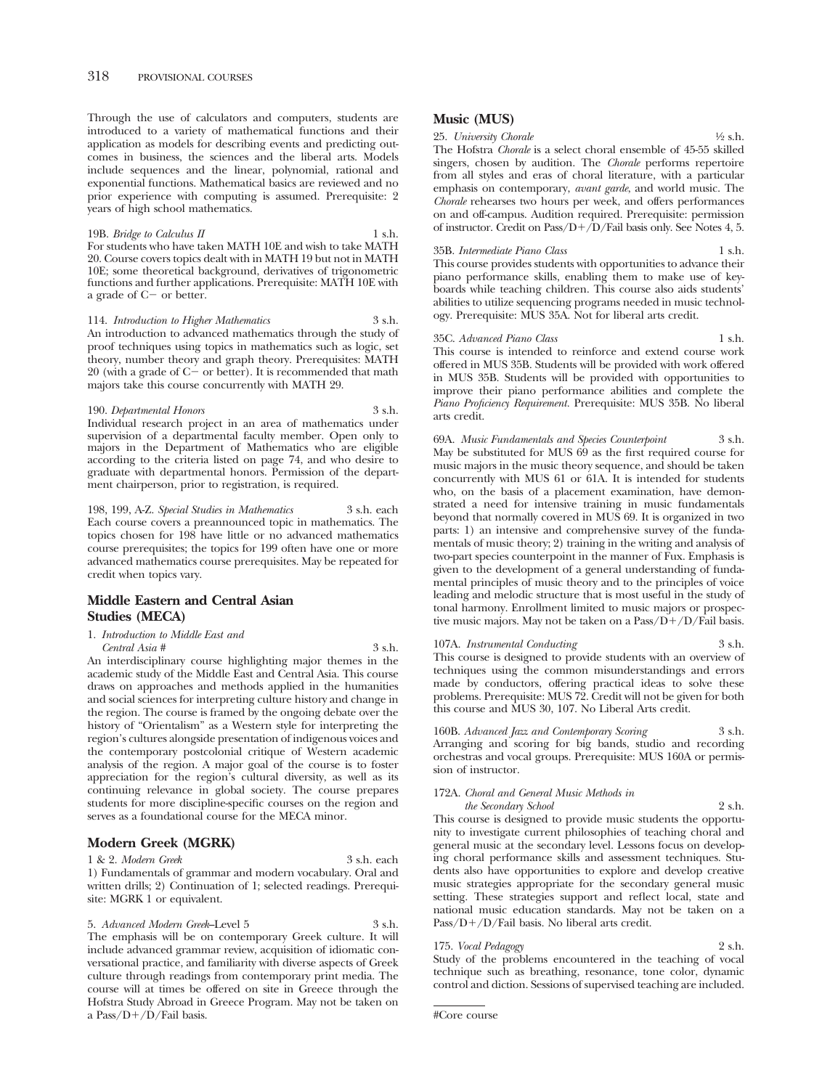Through the use of calculators and computers, students are introduced to a variety of mathematical functions and their application as models for describing events and predicting outcomes in business, the sciences and the liberal arts. Models include sequences and the linear, polynomial, rational and exponential functions. Mathematical basics are reviewed and no prior experience with computing is assumed. Prerequisite: 2 years of high school mathematics.

19B. *Bridge to Calculus II* 1 s.h. For students who have taken MATH 10E and wish to take MATH 20. Course covers topics dealt with in MATH 19 but not in MATH 10E; some theoretical background, derivatives of trigonometric functions and further applications. Prerequisite: MATH 10E with a grade of  $C-$  or better.

114. *Introduction to Higher Mathematics* 3 s.h. An introduction to advanced mathematics through the study of proof techniques using topics in mathematics such as logic, set theory, number theory and graph theory. Prerequisites: MATH 20 (with a grade of  $C-$  or better). It is recommended that math majors take this course concurrently with MATH 29.

190. *Departmental Honors* 3 s.h. Individual research project in an area of mathematics under supervision of a departmental faculty member. Open only to majors in the Department of Mathematics who are eligible according to the criteria listed on page 74, and who desire to graduate with departmental honors. Permission of the department chairperson, prior to registration, is required.

198, 199, A-Z. *Special Studies in Mathematics* 3 s.h. each Each course covers a preannounced topic in mathematics. The topics chosen for 198 have little or no advanced mathematics course prerequisites; the topics for 199 often have one or more advanced mathematics course prerequisites. May be repeated for credit when topics vary.

# **Middle Eastern and Central Asian Studies (MECA)**

1. *Introduction to Middle East and Central Asia #* 3 s.h.

An interdisciplinary course highlighting major themes in the academic study of the Middle East and Central Asia. This course draws on approaches and methods applied in the humanities and social sciences for interpreting culture history and change in the region. The course is framed by the ongoing debate over the history of "Orientalism" as a Western style for interpreting the region's cultures alongside presentation of indigenous voices and the contemporary postcolonial critique of Western academic analysis of the region. A major goal of the course is to foster appreciation for the region's cultural diversity, as well as its continuing relevance in global society. The course prepares students for more discipline-specific courses on the region and serves as a foundational course for the MECA minor.

# **Modern Greek (MGRK)**

1 & 2. *Modern Greek* 3 s.h. each 1) Fundamentals of grammar and modern vocabulary. Oral and written drills; 2) Continuation of 1; selected readings. Prerequisite: MGRK 1 or equivalent.

5. *Advanced Modern Greek*–Level 5 3 s.h. The emphasis will be on contemporary Greek culture. It will include advanced grammar review, acquisition of idiomatic conversational practice, and familiarity with diverse aspects of Greek culture through readings from contemporary print media. The course will at times be offered on site in Greece through the Hofstra Study Abroad in Greece Program. May not be taken on a Pass/D-/D/Fail basis.

# **Music (MUS)**

25. *University Chorale* 1⁄2 s.h. The Hofstra *Chorale* is a select choral ensemble of 45-55 skilled singers, chosen by audition. The *Chorale* performs repertoire from all styles and eras of choral literature, with a particular emphasis on contemporary, *avant garde*, and world music. The *Chorale* rehearses two hours per week, and offers performances on and off-campus. Audition required. Prerequisite: permission of instructor. Credit on Pass/D-/D/Fail basis only. See Notes 4, 5.

#### 35B. *Intermediate Piano Class* 1 s.h. This course provides students with opportunities to advance their piano performance skills, enabling them to make use of keyboards while teaching children. This course also aids students' abilities to utilize sequencing programs needed in music technology. Prerequisite: MUS 35A. Not for liberal arts credit.

#### 35C. *Advanced Piano Class* 1 s.h.

This course is intended to reinforce and extend course work offered in MUS 35B. Students will be provided with work offered in MUS 35B. Students will be provided with opportunities to improve their piano performance abilities and complete the *Piano Proficiency Requirement.* Prerequisite: MUS 35B. No liberal arts credit.

69A. *Music Fundamentals and Species Counterpoint* 3 s.h. May be substituted for MUS  $69$  as the first required course for music majors in the music theory sequence, and should be taken concurrently with MUS 61 or 61A. It is intended for students who, on the basis of a placement examination, have demonstrated a need for intensive training in music fundamentals beyond that normally covered in MUS 69. It is organized in two parts: 1) an intensive and comprehensive survey of the fundamentals of music theory; 2) training in the writing and analysis of two-part species counterpoint in the manner of Fux. Emphasis is given to the development of a general understanding of fundamental principles of music theory and to the principles of voice leading and melodic structure that is most useful in the study of tonal harmony. Enrollment limited to music majors or prospective music majors. May not be taken on a Pass/D+/D/Fail basis.

107A. *Instrumental Conducting* 3 s.h. This course is designed to provide students with an overview of techniques using the common misunderstandings and errors made by conductors, offering practical ideas to solve these problems. Prerequisite: MUS 72. Credit will not be given for both this course and MUS 30, 107. No Liberal Arts credit.

160B. *Advanced Jazz and Contemporary Scoring* 3 s.h. Arranging and scoring for big bands, studio and recording orchestras and vocal groups. Prerequisite: MUS 160A or permission of instructor.

172A. *Choral and General Music Methods in* 

*the Secondary School* 2 s.h. This course is designed to provide music students the opportunity to investigate current philosophies of teaching choral and general music at the secondary level. Lessons focus on developing choral performance skills and assessment techniques. Students also have opportunities to explore and develop creative music strategies appropriate for the secondary general music setting. These strategies support and reflect local, state and national music education standards. May not be taken on a Pass/D+/D/Fail basis. No liberal arts credit.

## 175. *Vocal Pedagogy* 2 s.h.

Study of the problems encountered in the teaching of vocal technique such as breathing, resonance, tone color, dynamic control and diction. Sessions of supervised teaching are included.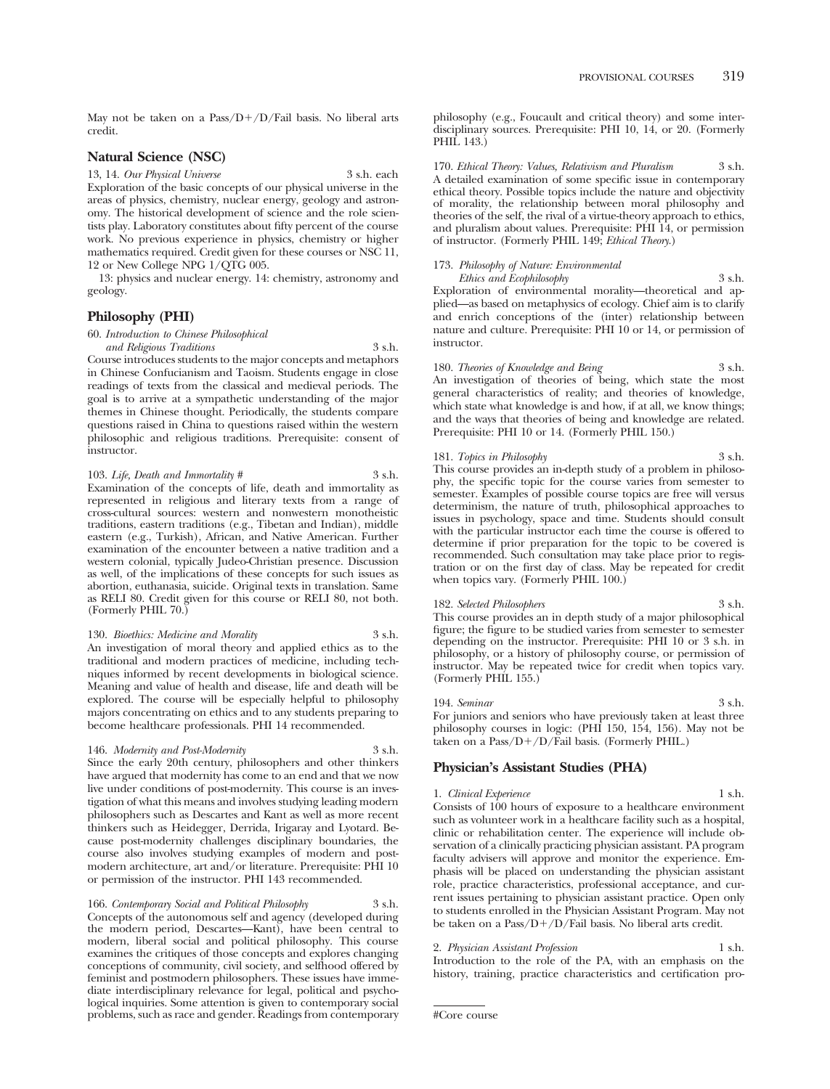May not be taken on a Pass/D+/D/Fail basis. No liberal arts credit.

# **Natural Science (NSC)**

#### 13, 14. *Our Physical Universe* 3 s.h. each

Exploration of the basic concepts of our physical universe in the areas of physics, chemistry, nuclear energy, geology and astronomy. The historical development of science and the role scientists play. Laboratory constitutes about fifty percent of the course work. No previous experience in physics, chemistry or higher mathematics required. Credit given for these courses or NSC 11, 12 or New College NPG 1/QTG 005.

13: physics and nuclear energy. 14: chemistry, astronomy and geology.

# **Philosophy (PHI)**

60. *Introduction to Chinese Philosophical* 

*and Religious Traditions* 3 s.h. Course introduces students to the major concepts and metaphors in Chinese Confucianism and Taoism. Students engage in close readings of texts from the classical and medieval periods. The goal is to arrive at a sympathetic understanding of the major themes in Chinese thought. Periodically, the students compare questions raised in China to questions raised within the western philosophic and religious traditions. Prerequisite: consent of instructor.

103. *Life, Death and Immortality #* 3 s.h. Examination of the concepts of life, death and immortality as represented in religious and literary texts from a range of cross-cultural sources: western and nonwestern monotheistic traditions, eastern traditions (e.g., Tibetan and Indian), middle eastern (e.g., Turkish), African, and Native American. Further examination of the encounter between a native tradition and a western colonial, typically Judeo-Christian presence. Discussion as well, of the implications of these concepts for such issues as abortion, euthanasia, suicide. Original texts in translation. Same as RELI 80. Credit given for this course or RELI 80, not both. (Formerly PHIL 70.)

130. *Bioethics: Medicine and Morality* 3 s.h. An investigation of moral theory and applied ethics as to the traditional and modern practices of medicine, including techniques informed by recent developments in biological science. Meaning and value of health and disease, life and death will be explored. The course will be especially helpful to philosophy majors concentrating on ethics and to any students preparing to become healthcare professionals. PHI 14 recommended.

#### 146. *Modernity and Post-Modernity* 3 s.h.

Since the early 20th century, philosophers and other thinkers have argued that modernity has come to an end and that we now live under conditions of post-modernity. This course is an investigation of what this means and involves studying leading modern philosophers such as Descartes and Kant as well as more recent thinkers such as Heidegger, Derrida, Irigaray and Lyotard. Because post-modernity challenges disciplinary boundaries, the course also involves studying examples of modern and postmodern architecture, art and/or literature. Prerequisite: PHI 10

166. *Contemporary Social and Political Philosophy* 3 s.h. Concepts of the autonomous self and agency (developed during the modern period, Descartes—Kant), have been central to modern, liberal social and political philosophy. This course examines the critiques of those concepts and explores changing conceptions of community, civil society, and selfhood offered by feminist and postmodern philosophers. These issues have immediate interdisciplinary relevance for legal, political and psychological inquiries. Some attention is given to contemporary social problems, such as race and gender. Readings from contemporary

or permission of the instructor. PHI 143 recommended.

philosophy (e.g., Foucault and critical theory) and some interdisciplinary sources. Prerequisite: PHI 10, 14, or 20. (Formerly PHIL 143.)

170. *Ethical Theory: Values, Relativism and Pluralism* 3 s.h. A detailed examination of some specific issue in contemporary ethical theory. Possible topics include the nature and objectivity of morality, the relationship between moral philosophy and theories of the self, the rival of a virtue-theory approach to ethics, and pluralism about values. Prerequisite: PHI 14, or permission of instructor. (Formerly PHIL 149; *Ethical Theory*.)

# 173. *Philosophy of Nature: Environmental*

*Ethics and Ecophilosophy* 3 s.h. Exploration of environmental morality—theoretical and applied—as based on metaphysics of ecology. Chief aim is to clarify and enrich conceptions of the (inter) relationship between nature and culture. Prerequisite: PHI 10 or 14, or permission of instructor.

#### 180. *Theories of Knowledge and Being* 3 s.h. An investigation of theories of being, which state the most general characteristics of reality; and theories of knowledge, which state what knowledge is and how, if at all, we know things; and the ways that theories of being and knowledge are related. Prerequisite: PHI 10 or 14. (Formerly PHIL 150.)

#### 181. *Topics in Philosophy* 3 s.h.

This course provides an in-depth study of a problem in philosophy, the specific topic for the course varies from semester to semester. Examples of possible course topics are free will versus determinism, the nature of truth, philosophical approaches to issues in psychology, space and time. Students should consult with the particular instructor each time the course is offered to determine if prior preparation for the topic to be covered is recommended. Such consultation may take place prior to registration or on the first day of class. May be repeated for credit when topics vary. (Formerly PHIL 100.)

#### 182. *Selected Philosophers* 3 s.h. This course provides an in depth study of a major philosophical figure; the figure to be studied varies from semester to semester depending on the instructor. Prerequisite: PHI 10 or 3 s.h. in philosophy, or a history of philosophy course, or permission of instructor. May be repeated twice for credit when topics vary. (Formerly PHIL 155.)

194. *Seminar* 3 s.h. For juniors and seniors who have previously taken at least three philosophy courses in logic: (PHI 150, 154, 156). May not be taken on a Pass/D-/D/Fail basis. (Formerly PHIL.)

# **Physician's Assistant Studies (PHA)**

#### 1. *Clinical Experience* 1 s.h. Consists of 100 hours of exposure to a healthcare environment such as volunteer work in a healthcare facility such as a hospital, clinic or rehabilitation center. The experience will include observation of a clinically practicing physician assistant. PA program faculty advisers will approve and monitor the experience. Emphasis will be placed on understanding the physician assistant role, practice characteristics, professional acceptance, and current issues pertaining to physician assistant practice. Open only to students enrolled in the Physician Assistant Program. May not be taken on a Pass/D-/D/Fail basis. No liberal arts credit.

#### 2. *Physician Assistant Profession* 1 s.h.

Introduction to the role of the PA, with an emphasis on the history, training, practice characteristics and certification pro-

<sup>#</sup>Core course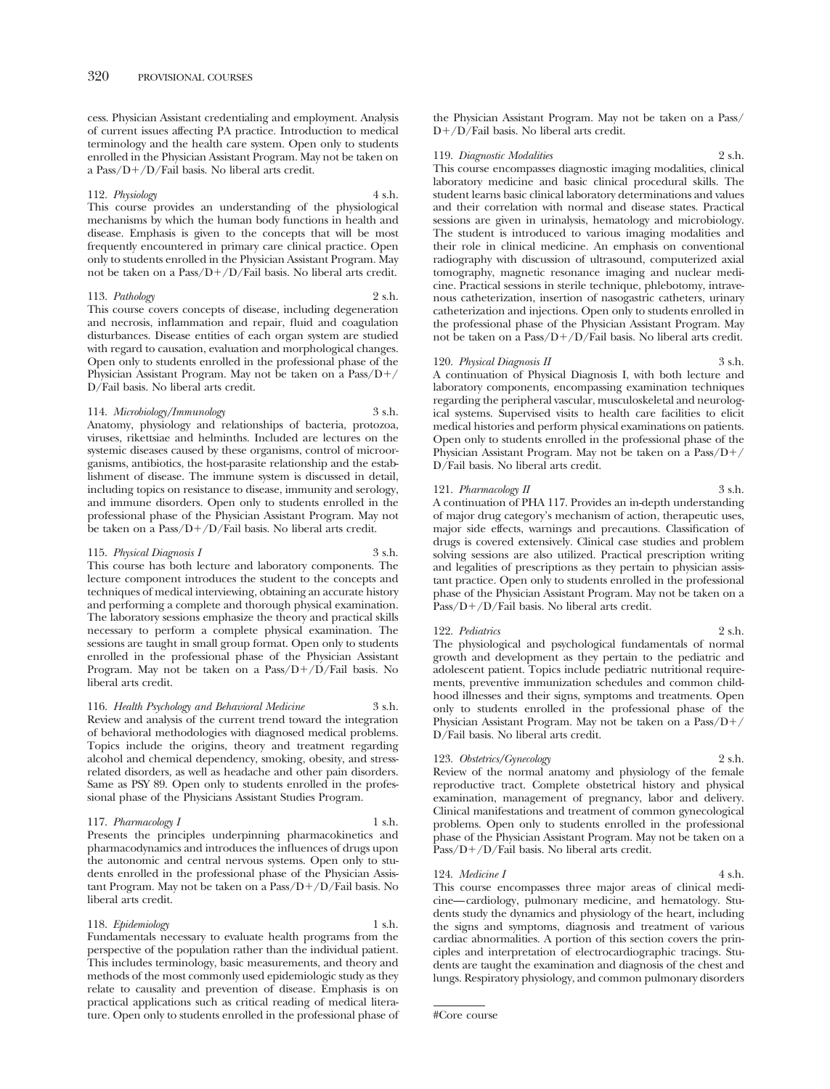cess. Physician Assistant credentialing and employment. Analysis of current issues affecting PA practice. Introduction to medical terminology and the health care system. Open only to students enrolled in the Physician Assistant Program. May not be taken on a Pass/D-/D/Fail basis. No liberal arts credit.

# 112. *Physiology* 4 s.h.

This course provides an understanding of the physiological mechanisms by which the human body functions in health and disease. Emphasis is given to the concepts that will be most frequently encountered in primary care clinical practice. Open only to students enrolled in the Physician Assistant Program. May not be taken on a Pass/D-/D/Fail basis. No liberal arts credit.

#### 113. *Pathology* 2 s.h.

This course covers concepts of disease, including degeneration and necrosis, inflammation and repair, fluid and coagulation disturbances. Disease entities of each organ system are studied with regard to causation, evaluation and morphological changes. Open only to students enrolled in the professional phase of the Physician Assistant Program. May not be taken on a Pass/D-/ D/Fail basis. No liberal arts credit.

#### 114. *Microbiology/Immunology* 3 s.h.

Anatomy, physiology and relationships of bacteria, protozoa, viruses, rikettsiae and helminths. Included are lectures on the systemic diseases caused by these organisms, control of microorganisms, antibiotics, the host-parasite relationship and the establishment of disease. The immune system is discussed in detail, including topics on resistance to disease, immunity and serology, and immune disorders. Open only to students enrolled in the professional phase of the Physician Assistant Program. May not be taken on a Pass/D-/D/Fail basis. No liberal arts credit.

# 115. *Physical Diagnosis I* 3 s.h.

This course has both lecture and laboratory components. The lecture component introduces the student to the concepts and techniques of medical interviewing, obtaining an accurate history and performing a complete and thorough physical examination. The laboratory sessions emphasize the theory and practical skills necessary to perform a complete physical examination. The sessions are taught in small group format. Open only to students enrolled in the professional phase of the Physician Assistant Program. May not be taken on a Pass/D+/D/Fail basis. No liberal arts credit.

#### 116. *Health Psychology and Behavioral Medicine* 3 s.h.

Review and analysis of the current trend toward the integration of behavioral methodologies with diagnosed medical problems. Topics include the origins, theory and treatment regarding alcohol and chemical dependency, smoking, obesity, and stressrelated disorders, as well as headache and other pain disorders. Same as PSY 89. Open only to students enrolled in the professional phase of the Physicians Assistant Studies Program.

#### 117. *Pharmacology I* 1 s.h.

Presents the principles underpinning pharmacokinetics and pharmacodynamics and introduces the influences of drugs upon the autonomic and central nervous systems. Open only to students enrolled in the professional phase of the Physician Assistant Program. May not be taken on a Pass/D+/D/Fail basis. No liberal arts credit.

# 118. *Epidemiology* 1 s.h.

Fundamentals necessary to evaluate health programs from the perspective of the population rather than the individual patient. This includes terminology, basic measurements, and theory and methods of the most commonly used epidemiologic study as they relate to causality and prevention of disease. Emphasis is on practical applications such as critical reading of medical literature. Open only to students enrolled in the professional phase of the Physician Assistant Program. May not be taken on a Pass/ D-/D/Fail basis. No liberal arts credit.

119. *Diagnostic Modalities* 2 s.h.

This course encompasses diagnostic imaging modalities, clinical laboratory medicine and basic clinical procedural skills. The student learns basic clinical laboratory determinations and values and their correlation with normal and disease states. Practical sessions are given in urinalysis, hematology and microbiology. The student is introduced to various imaging modalities and their role in clinical medicine. An emphasis on conventional radiography with discussion of ultrasound, computerized axial tomography, magnetic resonance imaging and nuclear medicine. Practical sessions in sterile technique, phlebotomy, intravenous catheterization, insertion of nasogastric catheters, urinary catheterization and injections. Open only to students enrolled in the professional phase of the Physician Assistant Program. May not be taken on a Pass/D-/D/Fail basis. No liberal arts credit.

#### 120. *Physical Diagnosis II* 3 s.h.

A continuation of Physical Diagnosis I, with both lecture and laboratory components, encompassing examination techniques regarding the peripheral vascular, musculoskeletal and neurological systems. Supervised visits to health care facilities to elicit medical histories and perform physical examinations on patients. Open only to students enrolled in the professional phase of the Physician Assistant Program. May not be taken on a Pass/D-/ D/Fail basis. No liberal arts credit.

#### 121. *Pharmacology II* 3 s.h.

A continuation of PHA 117. Provides an in-depth understanding of major drug category's mechanism of action, therapeutic uses, major side effects, warnings and precautions. Classification of drugs is covered extensively. Clinical case studies and problem solving sessions are also utilized. Practical prescription writing and legalities of prescriptions as they pertain to physician assistant practice. Open only to students enrolled in the professional phase of the Physician Assistant Program. May not be taken on a Pass/D+/D/Fail basis. No liberal arts credit.

#### 122. *Pediatrics* 2 s.h.

The physiological and psychological fundamentals of normal growth and development as they pertain to the pediatric and adolescent patient. Topics include pediatric nutritional requirements, preventive immunization schedules and common childhood illnesses and their signs, symptoms and treatments. Open only to students enrolled in the professional phase of the Physician Assistant Program. May not be taken on a Pass/D-/ D/Fail basis. No liberal arts credit.

#### 123. *Obstetrics/Gynecology* 2 s.h.

Review of the normal anatomy and physiology of the female reproductive tract. Complete obstetrical history and physical examination, management of pregnancy, labor and delivery. Clinical manifestations and treatment of common gynecological problems. Open only to students enrolled in the professional phase of the Physician Assistant Program. May not be taken on a Pass/D+/D/Fail basis. No liberal arts credit.

# 124. *Medicine I* 4 s.h.

This course encompasses three major areas of clinical medicine— cardiology, pulmonary medicine, and hematology. Students study the dynamics and physiology of the heart, including the signs and symptoms, diagnosis and treatment of various cardiac abnormalities. A portion of this section covers the principles and interpretation of electrocardiographic tracings. Students are taught the examination and diagnosis of the chest and lungs. Respiratory physiology, and common pulmonary disorders

<sup>#</sup>Core course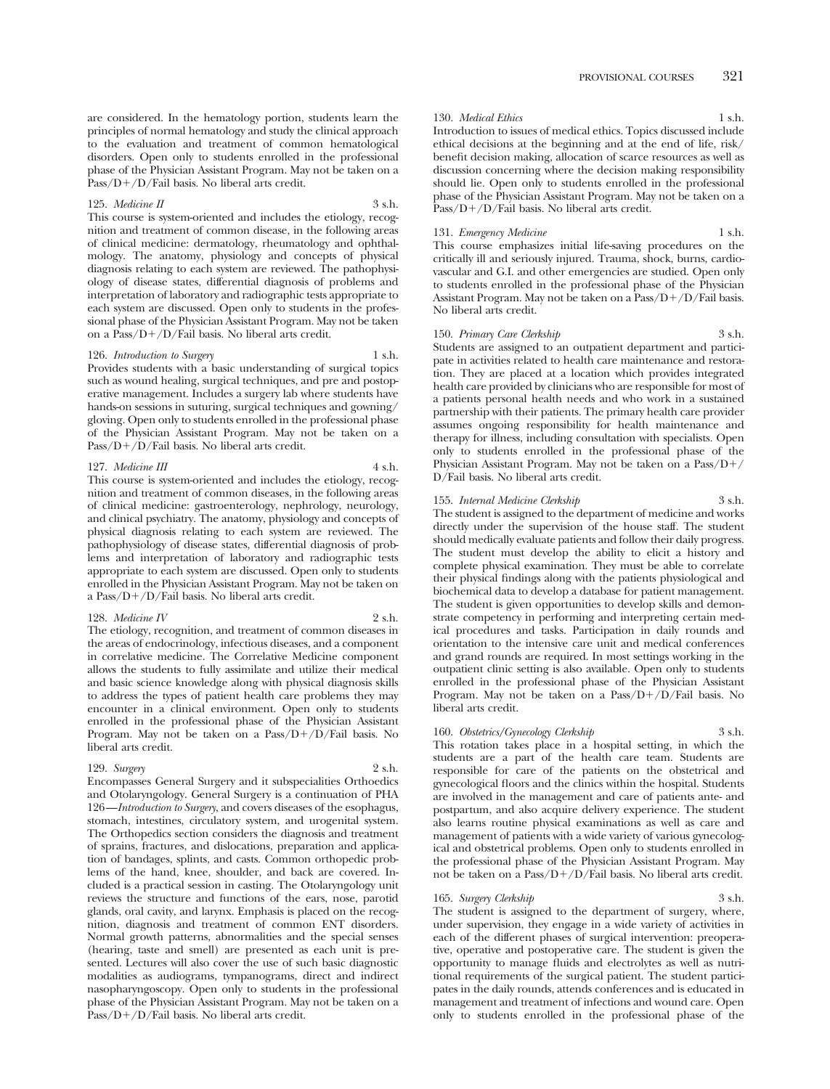are considered. In the hematology portion, students learn the principles of normal hematology and study the clinical approach to the evaluation and treatment of common hematological disorders. Open only to students enrolled in the professional phase of the Physician Assistant Program. May not be taken on a Pass/D+/D/Fail basis. No liberal arts credit.

#### 125. *Medicine II* 3 s.h.

This course is system-oriented and includes the etiology, recognition and treatment of common disease, in the following areas of clinical medicine: dermatology, rheumatology and ophthalmology. The anatomy, physiology and concepts of physical diagnosis relating to each system are reviewed. The pathophysiology of disease states, differential diagnosis of problems and interpretation of laboratory and radiographic tests appropriate to each system are discussed. Open only to students in the professional phase of the Physician Assistant Program. May not be taken on a Pass/D-/D/Fail basis. No liberal arts credit.

#### 126. *Introduction to Surgery* 1 s.h.

Provides students with a basic understanding of surgical topics such as wound healing, surgical techniques, and pre and postoperative management. Includes a surgery lab where students have hands-on sessions in suturing, surgical techniques and gowning/ gloving. Open only to students enrolled in the professional phase of the Physician Assistant Program. May not be taken on a Pass/D+/D/Fail basis. No liberal arts credit.

#### 127. *Medicine III* 4 s.h.

This course is system-oriented and includes the etiology, recognition and treatment of common diseases, in the following areas of clinical medicine: gastroenterology, nephrology, neurology, and clinical psychiatry. The anatomy, physiology and concepts of physical diagnosis relating to each system are reviewed. The pathophysiology of disease states, differential diagnosis of problems and interpretation of laboratory and radiographic tests appropriate to each system are discussed. Open only to students enrolled in the Physician Assistant Program. May not be taken on a Pass/D-/D/Fail basis. No liberal arts credit.

#### 128. *Medicine IV* 2 s.h.

The etiology, recognition, and treatment of common diseases in the areas of endocrinology, infectious diseases, and a component in correlative medicine. The Correlative Medicine component allows the students to fully assimilate and utilize their medical and basic science knowledge along with physical diagnosis skills to address the types of patient health care problems they may encounter in a clinical environment. Open only to students enrolled in the professional phase of the Physician Assistant Program. May not be taken on a Pass/D+/D/Fail basis. No liberal arts credit.

#### 129. *Surgery* 2 s.h.

Encompasses General Surgery and it subspecialities Orthoedics and Otolaryngology. General Surgery is a continuation of PHA 126 —*Introduction to Surgery*, and covers diseases of the esophagus, stomach, intestines, circulatory system, and urogenital system. The Orthopedics section considers the diagnosis and treatment of sprains, fractures, and dislocations, preparation and application of bandages, splints, and casts. Common orthopedic problems of the hand, knee, shoulder, and back are covered. Included is a practical session in casting. The Otolaryngology unit reviews the structure and functions of the ears, nose, parotid glands, oral cavity, and larynx. Emphasis is placed on the recognition, diagnosis and treatment of common ENT disorders. Normal growth patterns, abnormalities and the special senses (hearing, taste and smell) are presented as each unit is presented. Lectures will also cover the use of such basic diagnostic modalities as audiograms, tympanograms, direct and indirect nasopharyngoscopy. Open only to students in the professional phase of the Physician Assistant Program. May not be taken on a Pass/D+/D/Fail basis. No liberal arts credit.

#### 130. *Medical Ethics* 1 s.h.

Introduction to issues of medical ethics. Topics discussed include ethical decisions at the beginning and at the end of life, risk/ benefit decision making, allocation of scarce resources as well as discussion concerning where the decision making responsibility should lie. Open only to students enrolled in the professional phase of the Physician Assistant Program. May not be taken on a Pass/D+/D/Fail basis. No liberal arts credit.

#### 131. *Emergency Medicine* 1 s.h.

This course emphasizes initial life-saving procedures on the critically ill and seriously injured. Trauma, shock, burns, cardiovascular and G.I. and other emergencies are studied. Open only to students enrolled in the professional phase of the Physician Assistant Program. May not be taken on a Pass/D+/D/Fail basis. No liberal arts credit.

#### 150. *Primary Care Clerkship* 3 s.h.

Students are assigned to an outpatient department and participate in activities related to health care maintenance and restoration. They are placed at a location which provides integrated health care provided by clinicians who are responsible for most of a patients personal health needs and who work in a sustained partnership with their patients. The primary health care provider assumes ongoing responsibility for health maintenance and therapy for illness, including consultation with specialists. Open only to students enrolled in the professional phase of the Physician Assistant Program. May not be taken on a Pass/D-/ D/Fail basis. No liberal arts credit.

#### 155. *Internal Medicine Clerkship* 3 s.h.

The student is assigned to the department of medicine and works directly under the supervision of the house staff. The student should medically evaluate patients and follow their daily progress. The student must develop the ability to elicit a history and complete physical examination. They must be able to correlate their physical findings along with the patients physiological and biochemical data to develop a database for patient management. The student is given opportunities to develop skills and demonstrate competency in performing and interpreting certain medical procedures and tasks. Participation in daily rounds and orientation to the intensive care unit and medical conferences and grand rounds are required. In most settings working in the outpatient clinic setting is also available. Open only to students enrolled in the professional phase of the Physician Assistant Program. May not be taken on a Pass/D+/D/Fail basis. No liberal arts credit.

## 160. *Obstetrics/Gynecology Clerkship* 3 s.h.

This rotation takes place in a hospital setting, in which the students are a part of the health care team. Students are responsible for care of the patients on the obstetrical and gynecological floors and the clinics within the hospital. Students are involved in the management and care of patients ante- and postpartum, and also acquire delivery experience. The student also learns routine physical examinations as well as care and management of patients with a wide variety of various gynecological and obstetrical problems. Open only to students enrolled in the professional phase of the Physician Assistant Program. May not be taken on a Pass/D-/D/Fail basis. No liberal arts credit.

#### 165. *Surgery Clerkship* 3 s.h.

The student is assigned to the department of surgery, where, under supervision, they engage in a wide variety of activities in each of the different phases of surgical intervention: preoperative, operative and postoperative care. The student is given the opportunity to manage fluids and electrolytes as well as nutritional requirements of the surgical patient. The student participates in the daily rounds, attends conferences and is educated in management and treatment of infections and wound care. Open only to students enrolled in the professional phase of the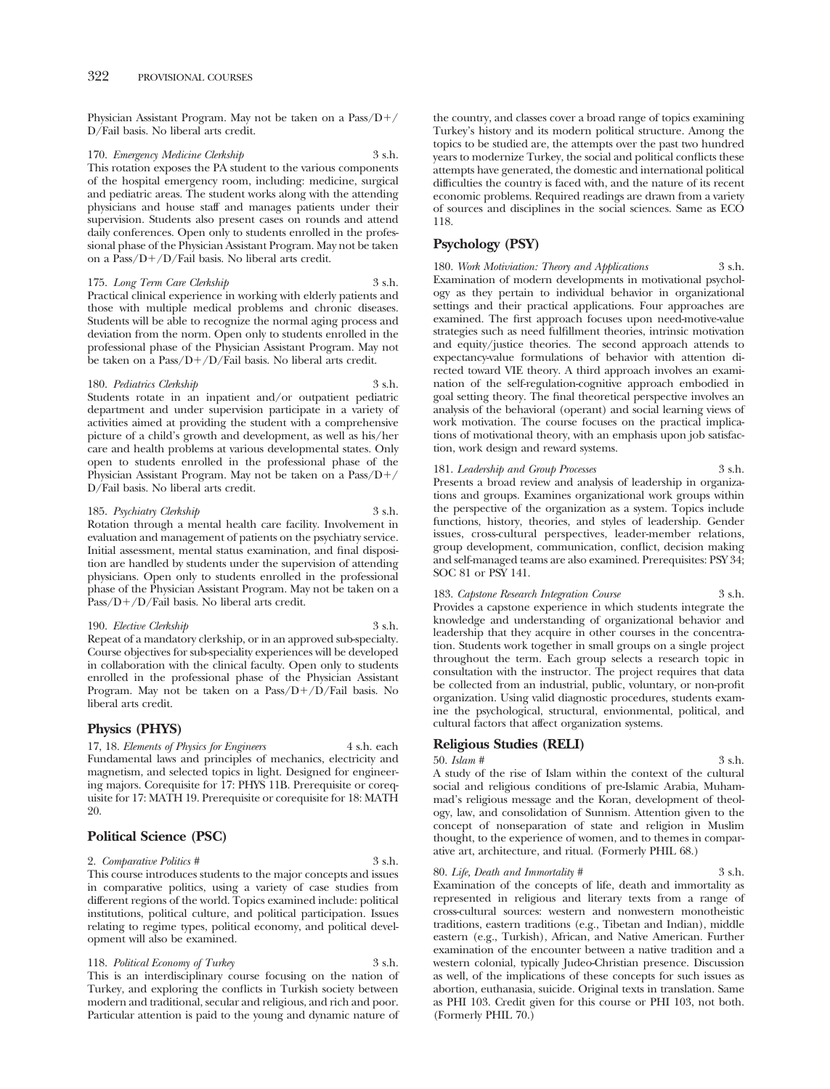Physician Assistant Program. May not be taken on a Pass/D-/ D/Fail basis. No liberal arts credit.

170. *Emergency Medicine Clerkship* 3 s.h. This rotation exposes the PA student to the various components of the hospital emergency room, including: medicine, surgical and pediatric areas. The student works along with the attending physicians and house staff and manages patients under their supervision. Students also present cases on rounds and attend daily conferences. Open only to students enrolled in the professional phase of the Physician Assistant Program. May not be taken on a Pass/D-/D/Fail basis. No liberal arts credit.

175. *Long Term Care Clerkship* 3 s.h. Practical clinical experience in working with elderly patients and those with multiple medical problems and chronic diseases. Students will be able to recognize the normal aging process and deviation from the norm. Open only to students enrolled in the professional phase of the Physician Assistant Program. May not be taken on a Pass/D-/D/Fail basis. No liberal arts credit.

#### 180. *Pediatrics Clerkship* 3 s.h.

Students rotate in an inpatient and/or outpatient pediatric department and under supervision participate in a variety of activities aimed at providing the student with a comprehensive picture of a child's growth and development, as well as his/her care and health problems at various developmental states. Only open to students enrolled in the professional phase of the Physician Assistant Program. May not be taken on a Pass/D-/ D/Fail basis. No liberal arts credit.

185. *Psychiatry Clerkship* 3 s.h.

Rotation through a mental health care facility. Involvement in evaluation and management of patients on the psychiatry service. Initial assessment, mental status examination, and final disposition are handled by students under the supervision of attending physicians. Open only to students enrolled in the professional phase of the Physician Assistant Program. May not be taken on a Pass/D+/D/Fail basis. No liberal arts credit.

### 190. *Elective Clerkship* 3 s.h.

Repeat of a mandatory clerkship, or in an approved sub-specialty. Course objectives for sub-speciality experiences will be developed in collaboration with the clinical faculty. Open only to students enrolled in the professional phase of the Physician Assistant Program. May not be taken on a Pass/D+/D/Fail basis. No liberal arts credit.

# **Physics (PHYS)**

17, 18. *Elements of Physics for Engineers* 4 s.h. each Fundamental laws and principles of mechanics, electricity and magnetism, and selected topics in light. Designed for engineering majors. Corequisite for 17: PHYS 11B. Prerequisite or corequisite for 17: MATH 19. Prerequisite or corequisite for 18: MATH 20.

# **Political Science (PSC)**

2. *Comparative Politics #* 3 s.h. This course introduces students to the major concepts and issues in comparative politics, using a variety of case studies from different regions of the world. Topics examined include: political institutions, political culture, and political participation. Issues relating to regime types, political economy, and political development will also be examined.

118. *Political Economy of Turkey* 3 s.h. This is an interdisciplinary course focusing on the nation of Turkey, and exploring the conflicts in Turkish society between modern and traditional, secular and religious, and rich and poor. Particular attention is paid to the young and dynamic nature of the country, and classes cover a broad range of topics examining Turkey's history and its modern political structure. Among the topics to be studied are, the attempts over the past two hundred years to modernize Turkey, the social and political conflicts these attempts have generated, the domestic and international political difficulties the country is faced with, and the nature of its recent economic problems. Required readings are drawn from a variety of sources and disciplines in the social sciences. Same as ECO 118.

# **Psychology (PSY)**

180. *Work Motiviation: Theory and Applications* 3 s.h. Examination of modern developments in motivational psychology as they pertain to individual behavior in organizational settings and their practical applications. Four approaches are examined. The first approach focuses upon need-motive-value strategies such as need fulfillment theories, intrinsic motivation and equity/justice theories. The second approach attends to expectancy-value formulations of behavior with attention directed toward VIE theory. A third approach involves an examination of the self-regulation-cognitive approach embodied in goal setting theory. The final theoretical perspective involves an analysis of the behavioral (operant) and social learning views of work motivation. The course focuses on the practical implications of motivational theory, with an emphasis upon job satisfaction, work design and reward systems.

181. *Leadership and Group Processes* 3 s.h. Presents a broad review and analysis of leadership in organizations and groups. Examines organizational work groups within the perspective of the organization as a system. Topics include functions, history, theories, and styles of leadership. Gender issues, cross-cultural perspectives, leader-member relations, group development, communication, conflict, decision making and self-managed teams are also examined. Prerequisites: PSY 34; SOC 81 or PSY 141.

183. *Capstone Research Integration Course* 3 s.h. Provides a capstone experience in which students integrate the knowledge and understanding of organizational behavior and leadership that they acquire in other courses in the concentration. Students work together in small groups on a single project throughout the term. Each group selects a research topic in consultation with the instructor. The project requires that data be collected from an industrial, public, voluntary, or non-profit organization. Using valid diagnostic procedures, students examine the psychological, structural, envionmental, political, and cultural factors that affect organization systems.

## **Religious Studies (RELI)**

50. *Islam #* 3 s.h. A study of the rise of Islam within the context of the cultural social and religious conditions of pre-Islamic Arabia, Muhammad's religious message and the Koran, development of theology, law, and consolidation of Sunnism. Attention given to the concept of nonseparation of state and religion in Muslim thought, to the experience of women, and to themes in comparative art, architecture, and ritual. (Formerly PHIL 68.)

#### 80. *Life, Death and Immortality #* 3 s.h.

Examination of the concepts of life, death and immortality as represented in religious and literary texts from a range of cross-cultural sources: western and nonwestern monotheistic traditions, eastern traditions (e.g., Tibetan and Indian), middle eastern (e.g., Turkish), African, and Native American. Further examination of the encounter between a native tradition and a western colonial, typically Judeo-Christian presence. Discussion as well, of the implications of these concepts for such issues as abortion, euthanasia, suicide. Original texts in translation. Same as PHI 103. Credit given for this course or PHI 103, not both. (Formerly PHIL 70.)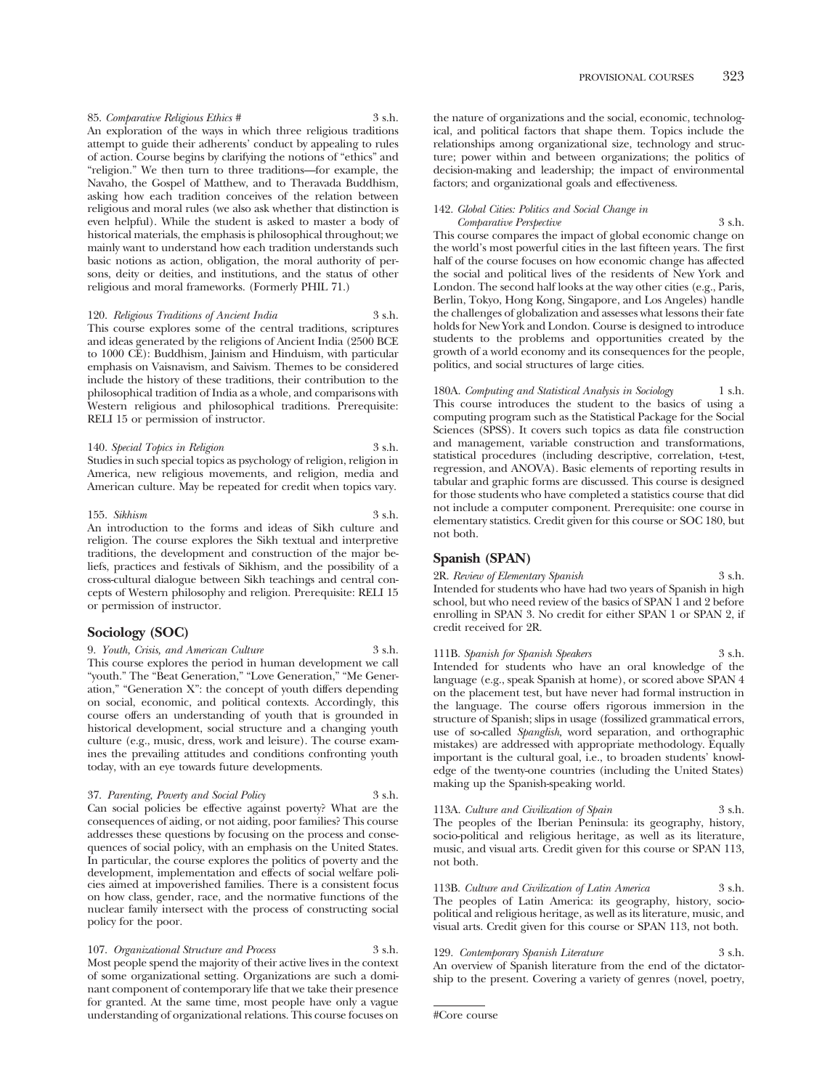85. *Comparative Religious Ethics #* 3 s.h. An exploration of the ways in which three religious traditions attempt to guide their adherents' conduct by appealing to rules of action. Course begins by clarifying the notions of "ethics" and "religion." We then turn to three traditions—for example, the Navaho, the Gospel of Matthew, and to Theravada Buddhism, asking how each tradition conceives of the relation between religious and moral rules (we also ask whether that distinction is even helpful). While the student is asked to master a body of historical materials, the emphasis is philosophical throughout; we mainly want to understand how each tradition understands such basic notions as action, obligation, the moral authority of persons, deity or deities, and institutions, and the status of other religious and moral frameworks. (Formerly PHIL 71.)

# 120. *Religious Traditions of Ancient India* 3 s.h.

This course explores some of the central traditions, scriptures and ideas generated by the religions of Ancient India (2500 BCE to 1000 CE): Buddhism, Jainism and Hinduism, with particular emphasis on Vaisnavism, and Saivism. Themes to be considered include the history of these traditions, their contribution to the philosophical tradition of India as a whole, and comparisons with Western religious and philosophical traditions. Prerequisite: RELI 15 or permission of instructor.

140. *Special Topics in Religion* 3 s.h. Studies in such special topics as psychology of religion, religion in America, new religious movements, and religion, media and American culture. May be repeated for credit when topics vary.

# 155. *Sikhism* 3 s.h.

An introduction to the forms and ideas of Sikh culture and religion. The course explores the Sikh textual and interpretive traditions, the development and construction of the major beliefs, practices and festivals of Sikhism, and the possibility of a cross-cultural dialogue between Sikh teachings and central concepts of Western philosophy and religion. Prerequisite: RELI 15 or permission of instructor.

# **Sociology (SOC)**

9. *Youth, Crisis, and American Culture* 3 s.h. This course explores the period in human development we call "youth." The "Beat Generation," "Love Generation," "Me Generation," "Generation X": the concept of youth differs depending on social, economic, and political contexts. Accordingly, this course offers an understanding of youth that is grounded in historical development, social structure and a changing youth culture (e.g., music, dress, work and leisure). The course examines the prevailing attitudes and conditions confronting youth today, with an eye towards future developments.

#### 37. *Parenting, Poverty and Social Policy* 3 s.h.

Can social policies be effective against poverty? What are the consequences of aiding, or not aiding, poor families? This course addresses these questions by focusing on the process and consequences of social policy, with an emphasis on the United States. In particular, the course explores the politics of poverty and the development, implementation and effects of social welfare policies aimed at impoverished families. There is a consistent focus on how class, gender, race, and the normative functions of the nuclear family intersect with the process of constructing social policy for the poor.

107. *Organizational Structure and Process* 3 s.h. Most people spend the majority of their active lives in the context of some organizational setting. Organizations are such a dominant component of contemporary life that we take their presence for granted. At the same time, most people have only a vague understanding of organizational relations. This course focuses on

the nature of organizations and the social, economic, technological, and political factors that shape them. Topics include the relationships among organizational size, technology and structure; power within and between organizations; the politics of decision-making and leadership; the impact of environmental factors; and organizational goals and effectiveness.

#### 142. *Global Cities: Politics and Social Change in Comparative Perspective* 3 s.h.

This course compares the impact of global economic change on the world's most powerful cities in the last fifteen years. The first half of the course focuses on how economic change has affected the social and political lives of the residents of New York and London. The second half looks at the way other cities (e.g., Paris, Berlin, Tokyo, Hong Kong, Singapore, and Los Angeles) handle the challenges of globalization and assesses what lessons their fate holds for New York and London. Course is designed to introduce students to the problems and opportunities created by the growth of a world economy and its consequences for the people, politics, and social structures of large cities.

180A. *Computing and Statistical Analysis in Sociology* 1 s.h. This course introduces the student to the basics of using a computing program such as the Statistical Package for the Social Sciences (SPSS). It covers such topics as data file construction and management, variable construction and transformations, statistical procedures (including descriptive, correlation, t-test, regression, and ANOVA). Basic elements of reporting results in tabular and graphic forms are discussed. This course is designed for those students who have completed a statistics course that did not include a computer component. Prerequisite: one course in elementary statistics. Credit given for this course or SOC 180, but not both.

# **Spanish (SPAN)**

2R. *Review of Elementary Spanish* 3 s.h. Intended for students who have had two years of Spanish in high school, but who need review of the basics of SPAN 1 and 2 before enrolling in SPAN 3. No credit for either SPAN 1 or SPAN 2, if credit received for 2R.

111B. *Spanish for Spanish Speakers* 3 s.h. Intended for students who have an oral knowledge of the language (e.g., speak Spanish at home), or scored above SPAN 4 on the placement test, but have never had formal instruction in the language. The course offers rigorous immersion in the structure of Spanish; slips in usage (fossilized grammatical errors, use of so-called *Spanglish,* word separation, and orthographic mistakes) are addressed with appropriate methodology. Equally important is the cultural goal, i.e., to broaden students' knowledge of the twenty-one countries (including the United States) making up the Spanish-speaking world.

113A. *Culture and Civilization of Spain* 3 s.h. The peoples of the Iberian Peninsula: its geography, history, socio-political and religious heritage, as well as its literature, music, and visual arts. Credit given for this course or SPAN 113, not both.

113B. *Culture and Civilization of Latin America* 3 s.h. The peoples of Latin America: its geography, history, sociopolitical and religious heritage, as well as its literature, music, and visual arts. Credit given for this course or SPAN 113, not both.

129. *Contemporary Spanish Literature* 3 s.h. An overview of Spanish literature from the end of the dictatorship to the present. Covering a variety of genres (novel, poetry,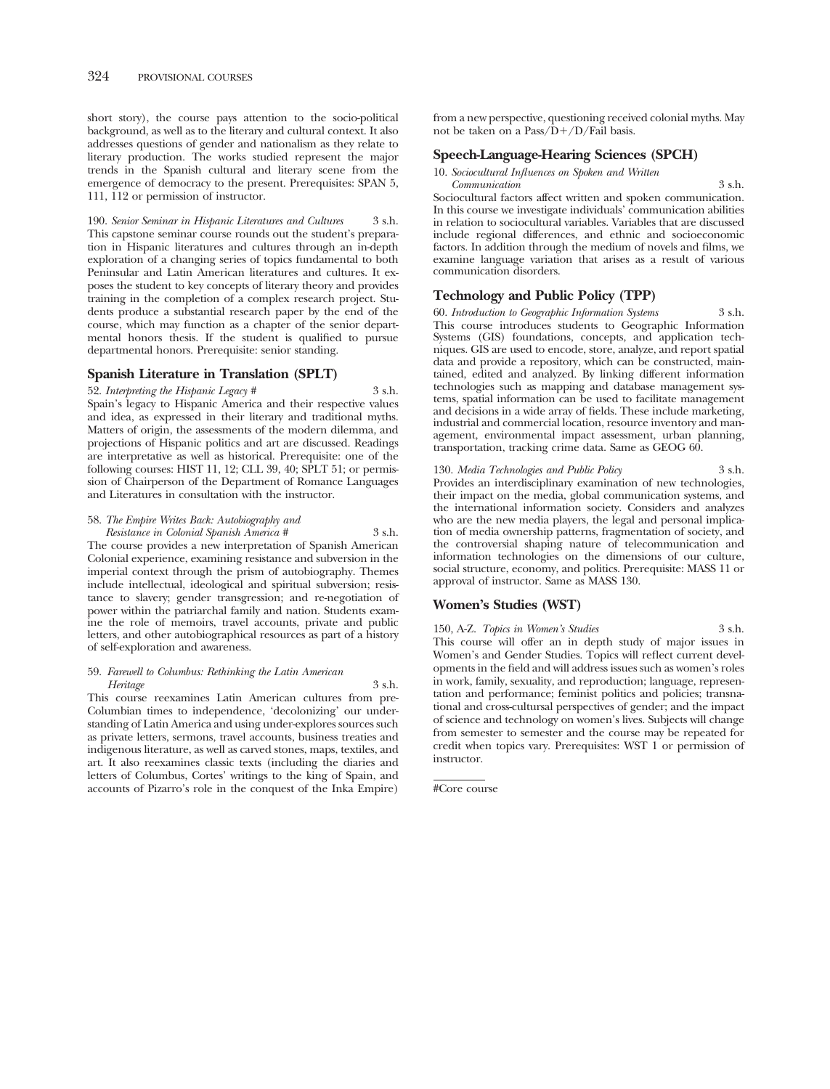short story), the course pays attention to the socio-political background, as well as to the literary and cultural context. It also addresses questions of gender and nationalism as they relate to literary production. The works studied represent the major trends in the Spanish cultural and literary scene from the emergence of democracy to the present. Prerequisites: SPAN 5, 111, 112 or permission of instructor.

190. *Senior Seminar in Hispanic Literatures and Cultures* 3 s.h. This capstone seminar course rounds out the student's preparation in Hispanic literatures and cultures through an in-depth exploration of a changing series of topics fundamental to both Peninsular and Latin American literatures and cultures. It exposes the student to key concepts of literary theory and provides training in the completion of a complex research project. Students produce a substantial research paper by the end of the course, which may function as a chapter of the senior departmental honors thesis. If the student is qualified to pursue departmental honors. Prerequisite: senior standing.

# **Spanish Literature in Translation (SPLT)**

52. *Interpreting the Hispanic Legacy #* 3 s.h. Spain's legacy to Hispanic America and their respective values and idea, as expressed in their literary and traditional myths. Matters of origin, the assessments of the modern dilemma, and projections of Hispanic politics and art are discussed. Readings are interpretative as well as historical. Prerequisite: one of the following courses: HIST 11, 12; CLL 39, 40; SPLT 51; or permission of Chairperson of the Department of Romance Languages and Literatures in consultation with the instructor.

# 58. *The Empire Writes Back: Autobiography and*

*Resistance in Colonial Spanish America #* 3 s.h. The course provides a new interpretation of Spanish American Colonial experience, examining resistance and subversion in the imperial context through the prism of autobiography. Themes include intellectual, ideological and spiritual subversion; resistance to slavery; gender transgression; and re-negotiation of power within the patriarchal family and nation. Students examine the role of memoirs, travel accounts, private and public letters, and other autobiographical resources as part of a history of self-exploration and awareness.

# 59. *Farewell to Columbus: Rethinking the Latin American Heritage* 3 s.h.

This course reexamines Latin American cultures from pre-Columbian times to independence, 'decolonizing' our understanding of Latin America and using under-explores sources such as private letters, sermons, travel accounts, business treaties and indigenous literature, as well as carved stones, maps, textiles, and art. It also reexamines classic texts (including the diaries and letters of Columbus, Cortes' writings to the king of Spain, and accounts of Pizarro's role in the conquest of the Inka Empire)

from a new perspective, questioning received colonial myths. May not be taken on a Pass/D-/D/Fail basis.

# **Speech-Language-Hearing Sciences (SPCH)**

10. *Sociocultural Influences on Spoken and Written* 

*Communication* 3 s.h. Sociocultural factors affect written and spoken communication. In this course we investigate individuals' communication abilities in relation to sociocultural variables. Variables that are discussed include regional differences, and ethnic and socioeconomic factors. In addition through the medium of novels and films, we examine language variation that arises as a result of various communication disorders.

# **Technology and Public Policy (TPP)**

60. *Introduction to Geographic Information Systems* 3 s.h. This course introduces students to Geographic Information Systems (GIS) foundations, concepts, and application techniques. GIS are used to encode, store, analyze, and report spatial data and provide a repository, which can be constructed, maintained, edited and analyzed. By linking different information technologies such as mapping and database management systems, spatial information can be used to facilitate management and decisions in a wide array of fields. These include marketing, industrial and commercial location, resource inventory and management, environmental impact assessment, urban planning, transportation, tracking crime data. Same as GEOG 60.

130. *Media Technologies and Public Policy* 3 s.h. Provides an interdisciplinary examination of new technologies, their impact on the media, global communication systems, and the international information society. Considers and analyzes who are the new media players, the legal and personal implication of media ownership patterns, fragmentation of society, and the controversial shaping nature of telecommunication and information technologies on the dimensions of our culture, social structure, economy, and politics. Prerequisite: MASS 11 or approval of instructor. Same as MASS 130.

# **Women's Studies (WST)**

150, A-Z. *Topics in Women's Studies* 3 s.h. This course will offer an in depth study of major issues in Women's and Gender Studies. Topics will reflect current developments in the field and will address issues such as women's roles in work, family, sexuality, and reproduction; language, representation and performance; feminist politics and policies; transnational and cross-cultursal perspectives of gender; and the impact of science and technology on women's lives. Subjects will change from semester to semester and the course may be repeated for credit when topics vary. Prerequisites: WST 1 or permission of instructor.